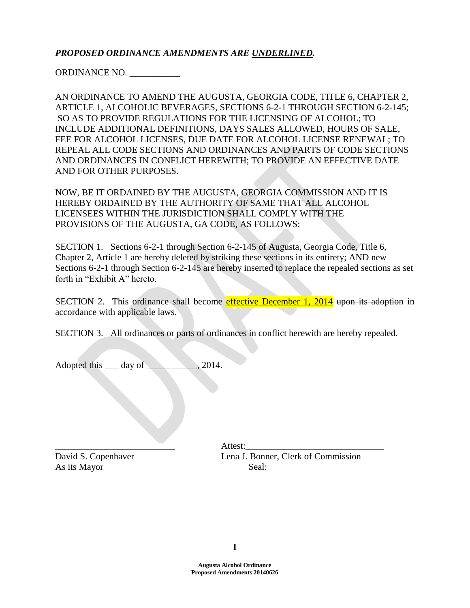# *PROPOSED ORDINANCE AMENDMENTS ARE UNDERLINED.*

ORDINANCE NO. \_\_\_\_\_\_\_\_\_\_\_

AN ORDINANCE TO AMEND THE AUGUSTA, GEORGIA CODE, TITLE 6, CHAPTER 2, ARTICLE 1, ALCOHOLIC BEVERAGES, SECTIONS 6-2-1 THROUGH SECTION 6-2-145; SO AS TO PROVIDE REGULATIONS FOR THE LICENSING OF ALCOHOL; TO INCLUDE ADDITIONAL DEFINITIONS, DAYS SALES ALLOWED, HOURS OF SALE, FEE FOR ALCOHOL LICENSES, DUE DATE FOR ALCOHOL LICENSE RENEWAL; TO REPEAL ALL CODE SECTIONS AND ORDINANCES AND PARTS OF CODE SECTIONS AND ORDINANCES IN CONFLICT HEREWITH; TO PROVIDE AN EFFECTIVE DATE AND FOR OTHER PURPOSES.

NOW, BE IT ORDAINED BY THE AUGUSTA, GEORGIA COMMISSION AND IT IS HEREBY ORDAINED BY THE AUTHORITY OF SAME THAT ALL ALCOHOL LICENSEES WITHIN THE JURISDICTION SHALL COMPLY WITH THE PROVISIONS OF THE AUGUSTA, GA CODE, AS FOLLOWS:

SECTION 1. Sections 6-2-1 through Section 6-2-145 of Augusta, Georgia Code, Title 6, Chapter 2, Article 1 are hereby deleted by striking these sections in its entirety; AND new Sections 6-2-1 through Section 6-2-145 are hereby inserted to replace the repealed sections as set forth in "Exhibit A" hereto.

SECTION 2. This ordinance shall become effective December 1, 2014 upon its adoption in accordance with applicable laws.

SECTION 3. All ordinances or parts of ordinances in conflict herewith are hereby repealed.

Adopted this <u>day of 2014</u>.

As its Mayor Seal:

\_\_\_\_\_\_\_\_\_\_\_\_\_\_\_\_\_\_\_\_\_\_\_\_\_\_ Attest:\_\_\_\_\_\_\_\_\_\_\_\_\_\_\_\_\_\_\_\_\_\_\_\_\_\_\_\_\_\_ David S. Copenhaver Lena J. Bonner, Clerk of Commission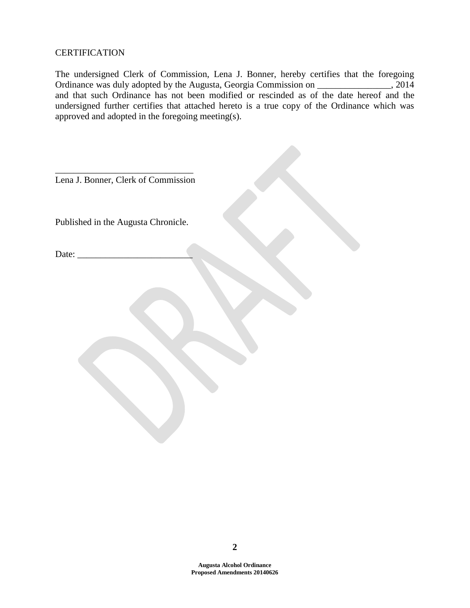# **CERTIFICATION**

The undersigned Clerk of Commission, Lena J. Bonner, hereby certifies that the foregoing Ordinance was duly adopted by the Augusta, Georgia Commission on \_\_\_\_\_\_\_\_\_\_\_\_\_\_\_\_, 2014 and that such Ordinance has not been modified or rescinded as of the date hereof and the undersigned further certifies that attached hereto is a true copy of the Ordinance which was approved and adopted in the foregoing meeting(s).

\_\_\_\_\_\_\_\_\_\_\_\_\_\_\_\_\_\_\_\_\_\_\_\_\_\_\_\_\_\_ Lena J. Bonner, Clerk of Commission

Published in the Augusta Chronicle.

Date: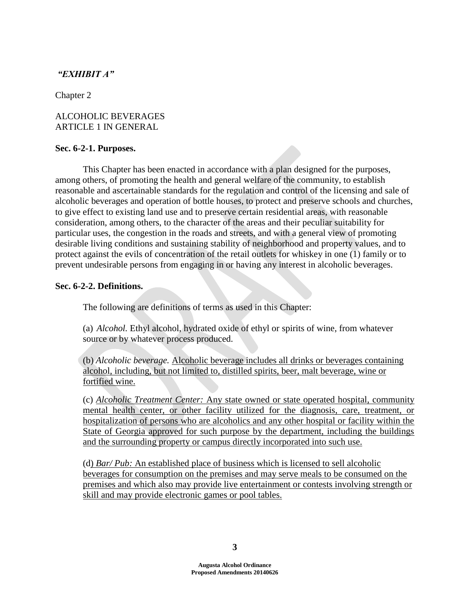# *"EXHIBIT A"*

Chapter 2

# ALCOHOLIC BEVERAGES ARTICLE 1 IN GENERAL

# **Sec. 6-2-1. Purposes.**

This Chapter has been enacted in accordance with a plan designed for the purposes, among others, of promoting the health and general welfare of the community, to establish reasonable and ascertainable standards for the regulation and control of the licensing and sale of alcoholic beverages and operation of bottle houses, to protect and preserve schools and churches, to give effect to existing land use and to preserve certain residential areas, with reasonable consideration, among others, to the character of the areas and their peculiar suitability for particular uses, the congestion in the roads and streets, and with a general view of promoting desirable living conditions and sustaining stability of neighborhood and property values, and to protect against the evils of concentration of the retail outlets for whiskey in one (1) family or to prevent undesirable persons from engaging in or having any interest in alcoholic beverages.

## **Sec. 6-2-2. Definitions.**

The following are definitions of terms as used in this Chapter:

(a) *Alcohol.* Ethyl alcohol, hydrated oxide of ethyl or spirits of wine, from whatever source or by whatever process produced.

(b) *Alcoholic beverage.* Alcoholic beverage includes all drinks or beverages containing alcohol, including, but not limited to, distilled spirits, beer, malt beverage, wine or fortified wine.

(c) *Alcoholic Treatment Center:* Any state owned or state operated hospital, community mental health center, or other facility utilized for the diagnosis, care, treatment, or hospitalization of persons who are alcoholics and any other hospital or facility within the State of Georgia approved for such purpose by the department, including the buildings and the surrounding property or campus directly incorporated into such use.

(d) *Bar/ Pub:* An established place of business which is licensed to sell alcoholic beverages for consumption on the premises and may serve meals to be consumed on the premises and which also may provide live entertainment or contests involving strength or skill and may provide electronic games or pool tables.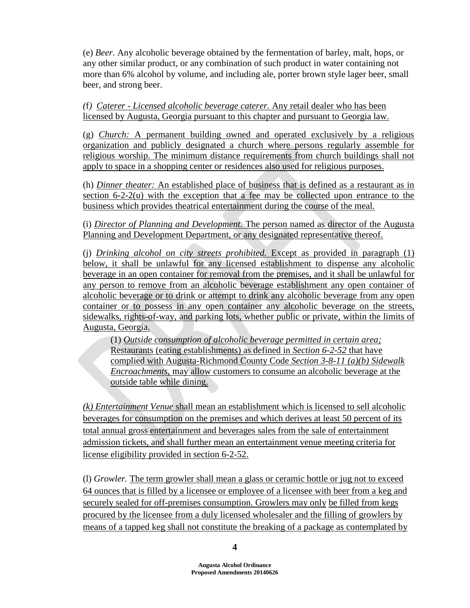(e) *Beer*. Any alcoholic beverage obtained by the fermentation of barley, malt, hops, or any other similar product, or any combination of such product in water containing not more than 6% alcohol by volume, and including ale, porter brown style lager beer, small beer, and strong beer.

*(*f*) Caterer - Licensed alcoholic beverage caterer.* Any retail dealer who has been licensed by Augusta, Georgia pursuant to this chapter and pursuant to Georgia law.

(g) *Church:* A permanent building owned and operated exclusively by a religious organization and publicly designated a church where persons regularly assemble for religious worship. The minimum distance requirements from church buildings shall not apply to space in a shopping center or residences also used for religious purposes.

(h) *Dinner theater:* An established place of business that is defined as a restaurant as in section 6-2-2(u) with the exception that a fee may be collected upon entrance to the business which provides theatrical entertainment during the course of the meal.

(i) *Director of Planning and Development.* The person named as director of the Augusta Planning and Development Department, or any designated representative thereof.

(j) *Drinking alcohol on city streets prohibited.* Except as provided in paragraph (1) below, it shall be unlawful for any licensed establishment to dispense any alcoholic beverage in an open container for removal from the premises, and it shall be unlawful for any person to remove from an alcoholic beverage establishment any open container of alcoholic beverage or to drink or attempt to drink any alcoholic beverage from any open container or to possess in any open container any alcoholic beverage on the streets, sidewalks, rights-of-way, and parking lots, whether public or private, within the limits of Augusta, Georgia.

(1) *Outside consumption of alcoholic beverage permitted in certain area;* Restaurants (eating establishments) as defined in *Section 6-2-52* that have complied with Augusta-Richmond County Code *Section 3-8-11 (a)(b) Sidewalk Encroachments,* may allow customers to consume an alcoholic beverage at the outside table while dining.

*(k) Entertainment Venue* shall mean an establishment which is licensed to sell alcoholic beverages for consumption on the premises and which derives at least 50 percent of its total annual gross entertainment and beverages sales from the sale of entertainment admission tickets, and shall further mean an entertainment venue meeting criteria for license eligibility provided in section 6-2-52.

(l) *Growler.* The term growler shall mean a glass or ceramic bottle or jug not to exceed 64 ounces that is filled by a licensee or employee of a licensee with beer from a keg and securely sealed for off-premises consumption. Growlers may only be filled from kegs procured by the licensee from a duly licensed wholesaler and the filling of growlers by means of a tapped keg shall not constitute the breaking of a package as contemplated by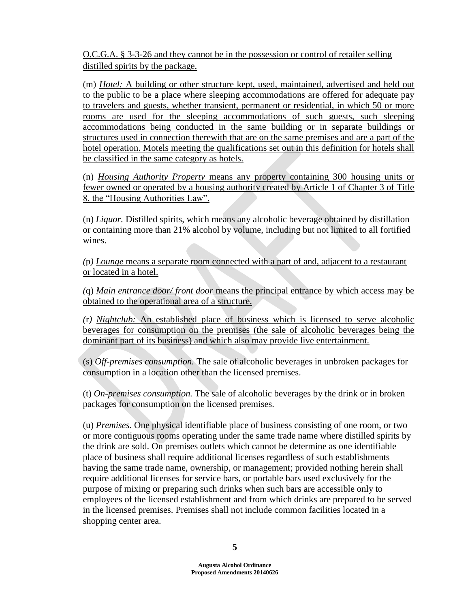O.C.G.A. § 3-3-26 and they cannot be in the possession or control of retailer selling distilled spirits by the package.

(m) *Hotel:* A building or other structure kept, used, maintained, advertised and held out to the public to be a place where sleeping accommodations are offered for adequate pay to travelers and guests, whether transient, permanent or residential, in which 50 or more rooms are used for the sleeping accommodations of such guests, such sleeping accommodations being conducted in the same building or in separate buildings or structures used in connection therewith that are on the same premises and are a part of the hotel operation. Motels meeting the qualifications set out in this definition for hotels shall be classified in the same category as hotels.

(n) *Housing Authority Property* means any property containing 300 housing units or fewer owned or operated by a housing authority created by Article 1 of Chapter 3 of Title 8, the "Housing Authorities Law".

(n) *Liquor.* Distilled spirits, which means any alcoholic beverage obtained by distillation or containing more than 21% alcohol by volume, including but not limited to all fortified wines.

*(*p*) Lounge* means a separate room connected with a part of and, adjacent to a restaurant or located in a hotel.

*(*q) *Main entrance door/ front door* means the principal entrance by which access may be obtained to the operational area of a structure.

*(*r*) Nightclub:* An established place of business which is licensed to serve alcoholic beverages for consumption on the premises (the sale of alcoholic beverages being the dominant part of its business) and which also may provide live entertainment.

(s) *Off-premises consumption.* The sale of alcoholic beverages in unbroken packages for consumption in a location other than the licensed premises.

(t) *On-premises consumption.* The sale of alcoholic beverages by the drink or in broken packages for consumption on the licensed premises.

(u) *Premises.* One physical identifiable place of business consisting of one room, or two or more contiguous rooms operating under the same trade name where distilled spirits by the drink are sold. On premises outlets which cannot be determine as one identifiable place of business shall require additional licenses regardless of such establishments having the same trade name, ownership, or management; provided nothing herein shall require additional licenses for service bars, or portable bars used exclusively for the purpose of mixing or preparing such drinks when such bars are accessible only to employees of the licensed establishment and from which drinks are prepared to be served in the licensed premises. Premises shall not include common facilities located in a shopping center area.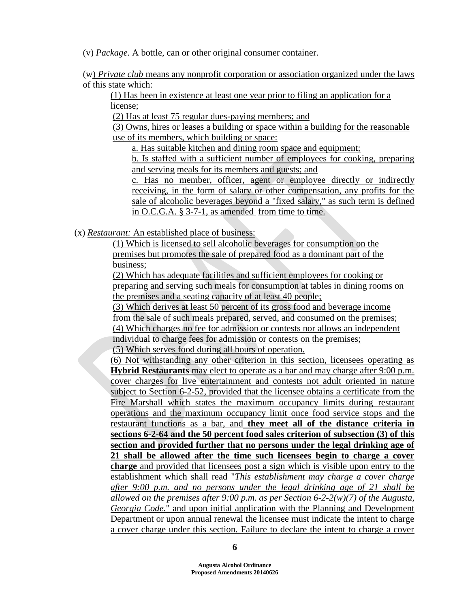(v) *Package.* A bottle, can or other original consumer container.

(w) *Private club* means any nonprofit corporation or association organized under the laws of this state which:

(1) Has been in existence at least one year prior to filing an application for a license;

(2) Has at least 75 regular dues-paying members; and

(3) Owns, hires or leases a building or space within a building for the reasonable use of its members, which building or space:

a. Has suitable kitchen and dining room space and equipment;

b. Is staffed with a sufficient number of employees for cooking, preparing and serving meals for its members and guests; and

c. Has no member, officer, agent or employee directly or indirectly receiving, in the form of salary or other compensation, any profits for the sale of alcoholic beverages beyond a "fixed salary," as such term is defined in O.C.G.A. § 3-7-1, as amended from time to time.

(x) *Restaurant:* An established place of business:

(1) Which is licensed to sell alcoholic beverages for consumption on the premises but promotes the sale of prepared food as a dominant part of the business;

(2) Which has adequate facilities and sufficient employees for cooking or preparing and serving such meals for consumption at tables in dining rooms on the premises and a seating capacity of at least 40 people;

(3) Which derives at least 50 percent of its gross food and beverage income from the sale of such meals prepared, served, and consumed on the premises; (4) Which charges no fee for admission or contests nor allows an independent individual to charge fees for admission or contests on the premises;

(5) Which serves food during all hours of operation.

(6) Not withstanding any other criterion in this section, licensees operating as **Hybrid Restaurants** may elect to operate as a bar and may charge after 9:00 p.m. cover charges for live entertainment and contests not adult oriented in nature subject to Section 6-2-52, provided that the licensee obtains a certificate from the Fire Marshall which states the maximum occupancy limits during restaurant operations and the maximum occupancy limit once food service stops and the restaurant functions as a bar, and **they meet all of the distance criteria in sections 6-2-64 and the 50 percent food sales criterion of subsection (3) of this section and provided further that no persons under the legal drinking age of 21 shall be allowed after the time such licensees begin to charge a cover charge** and provided that licensees post a sign which is visible upon entry to the establishment which shall read "*This establishment may charge a cover charge after 9:00 p.m. and no persons under the legal drinking age of 21 shall be allowed on the premises after 9:00 p.m. as per Section 6-2-2(w)(7) of the Augusta, Georgia Code.*" and upon initial application with the Planning and Development Department or upon annual renewal the licensee must indicate the intent to charge a cover charge under this section. Failure to declare the intent to charge a cover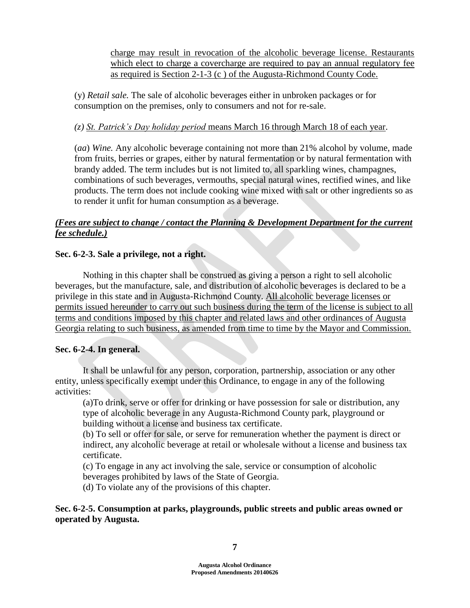charge may result in revocation of the alcoholic beverage license. Restaurants which elect to charge a covercharge are required to pay an annual regulatory fee as required is Section 2-1-3 (c ) of the Augusta-Richmond County Code.

(y) *Retail sale.* The sale of alcoholic beverages either in unbroken packages or for consumption on the premises, only to consumers and not for re-sale.

# *(z) St. Patrick's Day holiday period* means March 16 through March 18 of each year.

(*aa*) *Wine.* Any alcoholic beverage containing not more than 21% alcohol by volume, made from fruits, berries or grapes, either by natural fermentation or by natural fermentation with brandy added. The term includes but is not limited to, all sparkling wines, champagnes, combinations of such beverages, vermouths, special natural wines, rectified wines, and like products. The term does not include cooking wine mixed with salt or other ingredients so as to render it unfit for human consumption as a beverage.

# *(Fees are subject to change / contact the Planning & Development Department for the current fee schedule.)*

# **Sec. 6-2-3. Sale a privilege, not a right.**

Nothing in this chapter shall be construed as giving a person a right to sell alcoholic beverages, but the manufacture, sale, and distribution of alcoholic beverages is declared to be a privilege in this state and in Augusta-Richmond County. All alcoholic beverage licenses or permits issued hereunder to carry out such business during the term of the license is subject to all terms and conditions imposed by this chapter and related laws and other ordinances of Augusta Georgia relating to such business, as amended from time to time by the Mayor and Commission.

# **Sec. 6-2-4. In general.**

It shall be unlawful for any person, corporation, partnership, association or any other entity, unless specifically exempt under this Ordinance, to engage in any of the following activities:

(a)To drink, serve or offer for drinking or have possession for sale or distribution, any type of alcoholic beverage in any Augusta-Richmond County park, playground or building without a license and business tax certificate.

(b) To sell or offer for sale, or serve for remuneration whether the payment is direct or indirect, any alcoholic beverage at retail or wholesale without a license and business tax certificate.

(c) To engage in any act involving the sale, service or consumption of alcoholic beverages prohibited by laws of the State of Georgia.

(d) To violate any of the provisions of this chapter.

**Sec. 6-2-5. Consumption at parks, playgrounds, public streets and public areas owned or operated by Augusta.**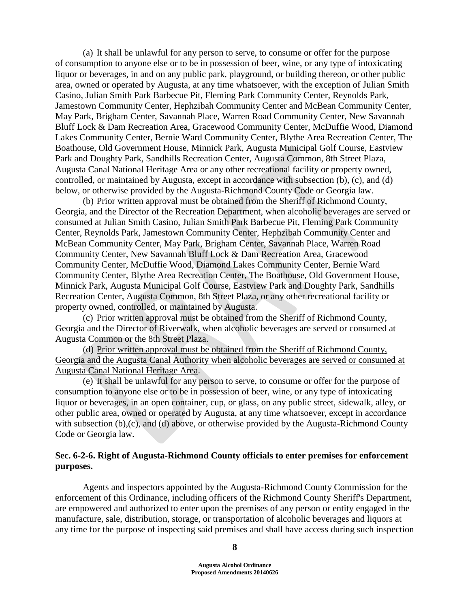(a) It shall be unlawful for any person to serve, to consume or offer for the purpose of consumption to anyone else or to be in possession of beer, wine, or any type of intoxicating liquor or beverages, in and on any public park, playground, or building thereon, or other public area, owned or operated by Augusta, at any time whatsoever, with the exception of Julian Smith Casino, Julian Smith Park Barbecue Pit, Fleming Park Community Center, Reynolds Park, Jamestown Community Center, Hephzibah Community Center and McBean Community Center, May Park, Brigham Center, Savannah Place, Warren Road Community Center, New Savannah Bluff Lock & Dam Recreation Area, Gracewood Community Center, McDuffie Wood, Diamond Lakes Community Center, Bernie Ward Community Center, Blythe Area Recreation Center, The Boathouse, Old Government House, Minnick Park, Augusta Municipal Golf Course, Eastview Park and Doughty Park, Sandhills Recreation Center, Augusta Common, 8th Street Plaza, Augusta Canal National Heritage Area or any other recreational facility or property owned, controlled, or maintained by Augusta, except in accordance with subsection (b), (c), and (d) below, or otherwise provided by the Augusta-Richmond County Code or Georgia law.

(b) Prior written approval must be obtained from the Sheriff of Richmond County, Georgia, and the Director of the Recreation Department, when alcoholic beverages are served or consumed at Julian Smith Casino, Julian Smith Park Barbecue Pit, Fleming Park Community Center, Reynolds Park, Jamestown Community Center, Hephzibah Community Center and McBean Community Center, May Park, Brigham Center, Savannah Place, Warren Road Community Center, New Savannah Bluff Lock & Dam Recreation Area, Gracewood Community Center, McDuffie Wood, Diamond Lakes Community Center, Bernie Ward Community Center, Blythe Area Recreation Center, The Boathouse, Old Government House, Minnick Park, Augusta Municipal Golf Course, Eastview Park and Doughty Park, Sandhills Recreation Center, Augusta Common, 8th Street Plaza, or any other recreational facility or property owned, controlled, or maintained by Augusta.

(c) Prior written approval must be obtained from the Sheriff of Richmond County, Georgia and the Director of Riverwalk, when alcoholic beverages are served or consumed at Augusta Common or the 8th Street Plaza.

(d) Prior written approval must be obtained from the Sheriff of Richmond County, Georgia and the Augusta Canal Authority when alcoholic beverages are served or consumed at Augusta Canal National Heritage Area.

(e) It shall be unlawful for any person to serve, to consume or offer for the purpose of consumption to anyone else or to be in possession of beer, wine, or any type of intoxicating liquor or beverages, in an open container, cup, or glass, on any public street, sidewalk, alley, or other public area, owned or operated by Augusta, at any time whatsoever, except in accordance with subsection (b),(c), and (d) above, or otherwise provided by the Augusta-Richmond County Code or Georgia law.

## **Sec. 6-2-6. Right of Augusta-Richmond County officials to enter premises for enforcement purposes.**

Agents and inspectors appointed by the Augusta-Richmond County Commission for the enforcement of this Ordinance, including officers of the Richmond County Sheriff's Department, are empowered and authorized to enter upon the premises of any person or entity engaged in the manufacture, sale, distribution, storage, or transportation of alcoholic beverages and liquors at any time for the purpose of inspecting said premises and shall have access during such inspection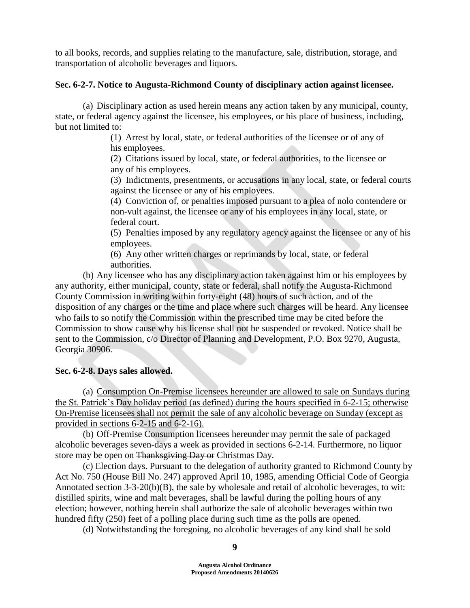to all books, records, and supplies relating to the manufacture, sale, distribution, storage, and transportation of alcoholic beverages and liquors.

# **Sec. 6-2-7. Notice to Augusta-Richmond County of disciplinary action against licensee.**

(a) Disciplinary action as used herein means any action taken by any municipal, county, state, or federal agency against the licensee, his employees, or his place of business, including, but not limited to:

> (1) Arrest by local, state, or federal authorities of the licensee or of any of his employees.

> (2) Citations issued by local, state, or federal authorities, to the licensee or any of his employees.

(3) Indictments, presentments, or accusations in any local, state, or federal courts against the licensee or any of his employees.

(4) Conviction of, or penalties imposed pursuant to a plea of nolo contendere or non-vult against, the licensee or any of his employees in any local, state, or federal court.

(5) Penalties imposed by any regulatory agency against the licensee or any of his employees.

(6) Any other written charges or reprimands by local, state, or federal authorities.

(b) Any licensee who has any disciplinary action taken against him or his employees by any authority, either municipal, county, state or federal, shall notify the Augusta-Richmond County Commission in writing within forty-eight (48) hours of such action, and of the disposition of any charges or the time and place where such charges will be heard. Any licensee who fails to so notify the Commission within the prescribed time may be cited before the Commission to show cause why his license shall not be suspended or revoked. Notice shall be sent to the Commission, c/o Director of Planning and Development, P.O. Box 9270, Augusta, Georgia 30906.

# **Sec. 6-2-8. Days sales allowed.**

(a) Consumption On-Premise licensees hereunder are allowed to sale on Sundays during the St. Patrick's Day holiday period (as defined) during the hours specified in 6-2-15; otherwise On-Premise licensees shall not permit the sale of any alcoholic beverage on Sunday (except as provided in sections 6-2-15 and 6-2-16).

(b) Off-Premise Consumption licensees hereunder may permit the sale of packaged alcoholic beverages seven-days a week as provided in sections 6-2-14. Furthermore, no liquor store may be open on Thanksgiving Day or Christmas Day.

(c) Election days. Pursuant to the delegation of authority granted to Richmond County by Act No. 750 (House Bill No. 247) approved April 10, 1985, amending Official Code of Georgia Annotated section 3-3-20(b)(B), the sale by wholesale and retail of alcoholic beverages, to wit: distilled spirits, wine and malt beverages, shall be lawful during the polling hours of any election; however, nothing herein shall authorize the sale of alcoholic beverages within two hundred fifty (250) feet of a polling place during such time as the polls are opened.

(d) Notwithstanding the foregoing, no alcoholic beverages of any kind shall be sold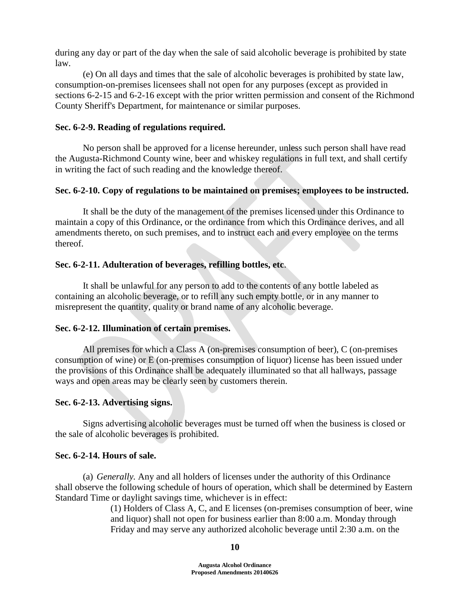during any day or part of the day when the sale of said alcoholic beverage is prohibited by state law.

(e) On all days and times that the sale of alcoholic beverages is prohibited by state law, consumption-on-premises licensees shall not open for any purposes (except as provided in sections 6-2-15 and 6-2-16 except with the prior written permission and consent of the Richmond County Sheriff's Department, for maintenance or similar purposes.

# **Sec. 6-2-9. Reading of regulations required.**

No person shall be approved for a license hereunder, unless such person shall have read the Augusta-Richmond County wine, beer and whiskey regulations in full text, and shall certify in writing the fact of such reading and the knowledge thereof.

# **Sec. 6-2-10. Copy of regulations to be maintained on premises; employees to be instructed.**

It shall be the duty of the management of the premises licensed under this Ordinance to maintain a copy of this Ordinance, or the ordinance from which this Ordinance derives, and all amendments thereto, on such premises, and to instruct each and every employee on the terms thereof.

# **Sec. 6-2-11. Adulteration of beverages, refilling bottles, etc**.

It shall be unlawful for any person to add to the contents of any bottle labeled as containing an alcoholic beverage, or to refill any such empty bottle, or in any manner to misrepresent the quantity, quality or brand name of any alcoholic beverage.

## **Sec. 6-2-12. Illumination of certain premises.**

All premises for which a Class A (on-premises consumption of beer), C (on-premises consumption of wine) or E (on-premises consumption of liquor) license has been issued under the provisions of this Ordinance shall be adequately illuminated so that all hallways, passage ways and open areas may be clearly seen by customers therein.

## **Sec. 6-2-13. Advertising signs.**

Signs advertising alcoholic beverages must be turned off when the business is closed or the sale of alcoholic beverages is prohibited.

## **Sec. 6-2-14. Hours of sale.**

(a) *Generally.* Any and all holders of licenses under the authority of this Ordinance shall observe the following schedule of hours of operation, which shall be determined by Eastern Standard Time or daylight savings time, whichever is in effect:

(1) Holders of Class A, C, and E licenses (on-premises consumption of beer, wine and liquor) shall not open for business earlier than 8:00 a.m. Monday through Friday and may serve any authorized alcoholic beverage until 2:30 a.m. on the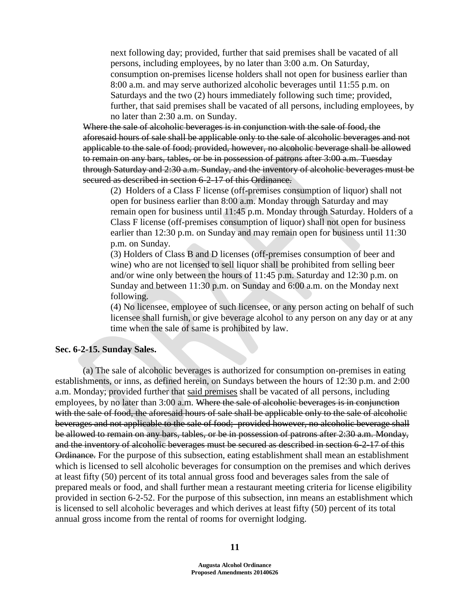next following day; provided, further that said premises shall be vacated of all persons, including employees, by no later than 3:00 a.m. On Saturday, consumption on-premises license holders shall not open for business earlier than 8:00 a.m. and may serve authorized alcoholic beverages until 11:55 p.m. on Saturdays and the two (2) hours immediately following such time; provided, further, that said premises shall be vacated of all persons, including employees, by no later than 2:30 a.m. on Sunday.

Where the sale of alcoholic beverages is in conjunction with the sale of food, the aforesaid hours of sale shall be applicable only to the sale of alcoholic beverages and not applicable to the sale of food; provided, however, no alcoholic beverage shall be allowed to remain on any bars, tables, or be in possession of patrons after 3:00 a.m. Tuesday through Saturday and 2:30 a.m. Sunday, and the inventory of alcoholic beverages must be secured as described in section 6-2-17 of this Ordinance.

(2) Holders of a Class F license (off-premises consumption of liquor) shall not open for business earlier than 8:00 a.m. Monday through Saturday and may remain open for business until 11:45 p.m. Monday through Saturday. Holders of a Class F license (off-premises consumption of liquor) shall not open for business earlier than 12:30 p.m. on Sunday and may remain open for business until 11:30 p.m. on Sunday.

(3) Holders of Class B and D licenses (off-premises consumption of beer and wine) who are not licensed to sell liquor shall be prohibited from selling beer and/or wine only between the hours of 11:45 p.m. Saturday and 12:30 p.m. on Sunday and between 11:30 p.m. on Sunday and 6:00 a.m. on the Monday next following.

(4) No licensee, employee of such licensee, or any person acting on behalf of such licensee shall furnish, or give beverage alcohol to any person on any day or at any time when the sale of same is prohibited by law.

#### **Sec. 6-2-15. Sunday Sales.**

(a) The sale of alcoholic beverages is authorized for consumption on-premises in eating establishments, or inns, as defined herein, on Sundays between the hours of 12:30 p.m. and 2:00 a.m. Monday; provided further that said premises shall be vacated of all persons, including employees, by no later than 3:00 a.m. Where the sale of alcoholic beverages is in conjunction with the sale of food, the aforesaid hours of sale shall be applicable only to the sale of alcoholic beverages and not applicable to the sale of food; provided however, no alcoholic beverage shall be allowed to remain on any bars, tables, or be in possession of patrons after 2:30 a.m. Monday, and the inventory of alcoholic beverages must be secured as described in section 6-2-17 of this Ordinance. For the purpose of this subsection, eating establishment shall mean an establishment which is licensed to sell alcoholic beverages for consumption on the premises and which derives at least fifty (50) percent of its total annual gross food and beverages sales from the sale of prepared meals or food, and shall further mean a restaurant meeting criteria for license eligibility provided in section 6-2-52. For the purpose of this subsection, inn means an establishment which is licensed to sell alcoholic beverages and which derives at least fifty (50) percent of its total annual gross income from the rental of rooms for overnight lodging.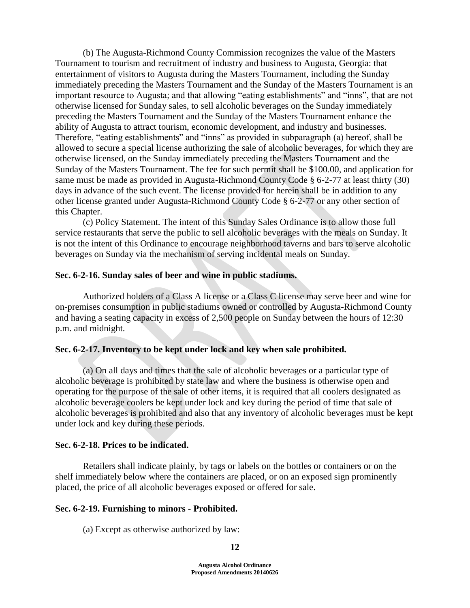(b) The Augusta-Richmond County Commission recognizes the value of the Masters Tournament to tourism and recruitment of industry and business to Augusta, Georgia: that entertainment of visitors to Augusta during the Masters Tournament, including the Sunday immediately preceding the Masters Tournament and the Sunday of the Masters Tournament is an important resource to Augusta; and that allowing "eating establishments" and "inns", that are not otherwise licensed for Sunday sales, to sell alcoholic beverages on the Sunday immediately preceding the Masters Tournament and the Sunday of the Masters Tournament enhance the ability of Augusta to attract tourism, economic development, and industry and businesses. Therefore, "eating establishments" and "inns" as provided in subparagraph (a) hereof, shall be allowed to secure a special license authorizing the sale of alcoholic beverages, for which they are otherwise licensed, on the Sunday immediately preceding the Masters Tournament and the Sunday of the Masters Tournament. The fee for such permit shall be \$100.00, and application for same must be made as provided in Augusta-Richmond County Code § 6-2-77 at least thirty (30) days in advance of the such event. The license provided for herein shall be in addition to any other license granted under Augusta-Richmond County Code § 6-2-77 or any other section of this Chapter.

(c) Policy Statement. The intent of this Sunday Sales Ordinance is to allow those full service restaurants that serve the public to sell alcoholic beverages with the meals on Sunday. It is not the intent of this Ordinance to encourage neighborhood taverns and bars to serve alcoholic beverages on Sunday via the mechanism of serving incidental meals on Sunday.

### **Sec. 6-2-16. Sunday sales of beer and wine in public stadiums.**

Authorized holders of a Class A license or a Class C license may serve beer and wine for on-premises consumption in public stadiums owned or controlled by Augusta-Richmond County and having a seating capacity in excess of 2,500 people on Sunday between the hours of 12:30 p.m. and midnight.

### **Sec. 6-2-17. Inventory to be kept under lock and key when sale prohibited.**

(a) On all days and times that the sale of alcoholic beverages or a particular type of alcoholic beverage is prohibited by state law and where the business is otherwise open and operating for the purpose of the sale of other items, it is required that all coolers designated as alcoholic beverage coolers be kept under lock and key during the period of time that sale of alcoholic beverages is prohibited and also that any inventory of alcoholic beverages must be kept under lock and key during these periods.

### **Sec. 6-2-18. Prices to be indicated.**

Retailers shall indicate plainly, by tags or labels on the bottles or containers or on the shelf immediately below where the containers are placed, or on an exposed sign prominently placed, the price of all alcoholic beverages exposed or offered for sale.

#### **Sec. 6-2-19. Furnishing to minors - Prohibited.**

(a) Except as otherwise authorized by law: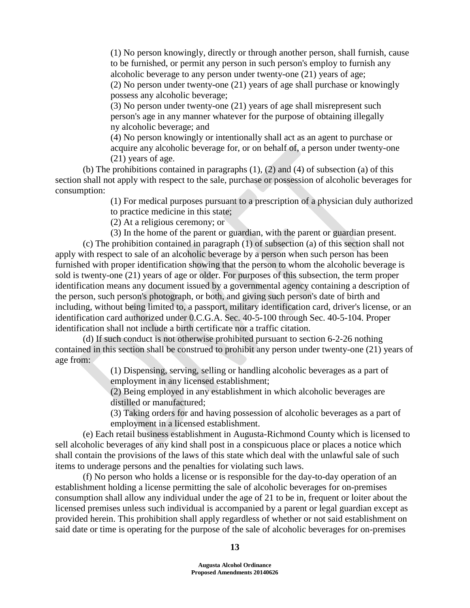(1) No person knowingly, directly or through another person, shall furnish, cause to be furnished, or permit any person in such person's employ to furnish any alcoholic beverage to any person under twenty-one (21) years of age; (2) No person under twenty-one (21) years of age shall purchase or knowingly possess any alcoholic beverage;

(3) No person under twenty-one (21) years of age shall misrepresent such person's age in any manner whatever for the purpose of obtaining illegally ny alcoholic beverage; and

(4) No person knowingly or intentionally shall act as an agent to purchase or acquire any alcoholic beverage for, or on behalf of, a person under twenty-one (21) years of age.

(b) The prohibitions contained in paragraphs  $(1)$ ,  $(2)$  and  $(4)$  of subsection  $(a)$  of this section shall not apply with respect to the sale, purchase or possession of alcoholic beverages for consumption:

> (1) For medical purposes pursuant to a prescription of a physician duly authorized to practice medicine in this state;

(2) At a religious ceremony; or

(3) In the home of the parent or guardian, with the parent or guardian present.

(c) The prohibition contained in paragraph (1) of subsection (a) of this section shall not apply with respect to sale of an alcoholic beverage by a person when such person has been furnished with proper identification showing that the person to whom the alcoholic beverage is sold is twenty-one (21) years of age or older. For purposes of this subsection, the term proper identification means any document issued by a governmental agency containing a description of the person, such person's photograph, or both, and giving such person's date of birth and including, without being limited to, a passport, military identification card, driver's license, or an identification card authorized under 0.C.G.A. Sec. 40-5-100 through Sec. 40-5-104. Proper identification shall not include a birth certificate nor a traffic citation.

(d) If such conduct is not otherwise prohibited pursuant to section 6-2-26 nothing contained in this section shall be construed to prohibit any person under twenty-one (21) years of age from:

> (1) Dispensing, serving, selling or handling alcoholic beverages as a part of employment in any licensed establishment;

(2) Being employed in any establishment in which alcoholic beverages are distilled or manufactured;

(3) Taking orders for and having possession of alcoholic beverages as a part of employment in a licensed establishment.

(e) Each retail business establishment in Augusta-Richmond County which is licensed to sell alcoholic beverages of any kind shall post in a conspicuous place or places a notice which shall contain the provisions of the laws of this state which deal with the unlawful sale of such items to underage persons and the penalties for violating such laws.

(f) No person who holds a license or is responsible for the day-to-day operation of an establishment holding a license permitting the sale of alcoholic beverages for on-premises consumption shall allow any individual under the age of 21 to be in, frequent or loiter about the licensed premises unless such individual is accompanied by a parent or legal guardian except as provided herein. This prohibition shall apply regardless of whether or not said establishment on said date or time is operating for the purpose of the sale of alcoholic beverages for on-premises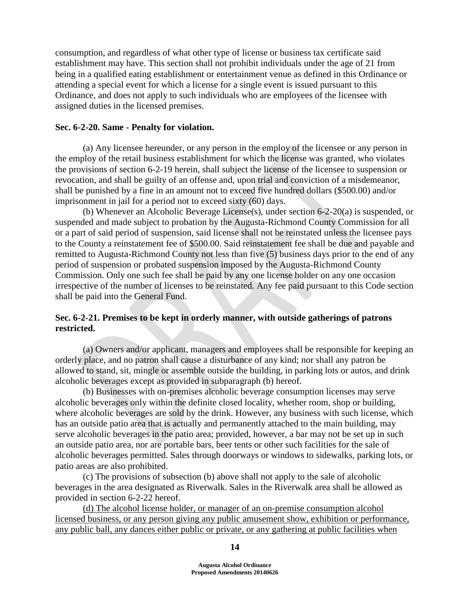consumption, and regardless of what other type of license or business tax certificate said establishment may have. This section shall not prohibit individuals under the age of 21 from being in a qualified eating establishment or entertainment venue as defined in this Ordinance or attending a special event for which a license for a single event is issued pursuant to this Ordinance, and does not apply to such individuals who are employees of the licensee with assigned duties in the licensed premises.

### **Sec. 6-2-20. Same - Penalty for violation.**

(a) Any licensee hereunder, or any person in the employ of the licensee or any person in the employ of the retail business establishment for which the license was granted, who violates the provisions of section 6-2-19 herein, shall subject the license of the licensee to suspension or revocation, and shall be guilty of an offense and, upon trial and conviction of a misdemeanor, shall be punished by a fine in an amount not to exceed five hundred dollars (\$500.00) and/or imprisonment in jail for a period not to exceed sixty (60) days.

(b) Whenever an Alcoholic Beverage License(s), under section 6-2-20(a) is suspended, or suspended and made subject to probation by the Augusta-Richmond County Commission for all or a part of said period of suspension, said license shall not be reinstated unless the licensee pays to the County a reinstatement fee of \$500.00. Said reinstatement fee shall be due and payable and remitted to Augusta-Richmond County not less than five (5) business days prior to the end of any period of suspension or probated suspension imposed by the Augusta-Richmond County Commission. Only one such fee shall be paid by any one license holder on any one occasion irrespective of the number of licenses to be reinstated. Any fee paid pursuant to this Code section shall be paid into the General Fund.

# **Sec. 6-2-21. Premises to be kept in orderly manner, with outside gatherings of patrons restricted.**

(a) Owners and/or applicant, managers and employees shall be responsible for keeping an orderly place, and no patron shall cause a disturbance of any kind; nor shall any patron be allowed to stand, sit, mingle or assemble outside the building, in parking lots or autos, and drink alcoholic beverages except as provided in subparagraph (b) hereof.

(b) Businesses with on-premises alcoholic beverage consumption licenses may serve alcoholic beverages only within the definite closed locality, whether room, shop or building, where alcoholic beverages are sold by the drink. However, any business with such license, which has an outside patio area that is actually and permanently attached to the main building, may serve alcoholic beverages in the patio area; provided, however, a bar may not be set up in such an outside patio area, nor are portable bars, beer tents or other such facilities for the sale of alcoholic beverages permitted. Sales through doorways or windows to sidewalks, parking lots, or patio areas are also prohibited.

(c) The provisions of subsection (b) above shall not apply to the sale of alcoholic beverages in the area designated as Riverwalk. Sales in the Riverwalk area shall be allowed as provided in section 6-2-22 hereof.

(d) The alcohol license holder, or manager of an on-premise consumption alcohol licensed business, or any person giving any public amusement show, exhibition or performance, any public ball, any dances either public or private, or any gathering at public facilities when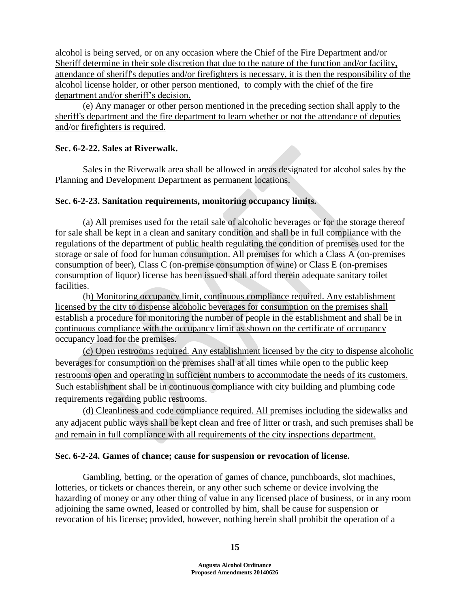alcohol is being served, or on any occasion where the Chief of the Fire Department and/or Sheriff determine in their sole discretion that due to the nature of the function and/or facility, attendance of sheriff's deputies and/or firefighters is necessary, it is then the responsibility of the alcohol license holder, or other person mentioned, to comply with the chief of the fire department and/or sheriff's decision.

(e) Any manager or other person mentioned in the preceding section shall apply to the sheriff's department and the fire department to learn whether or not the attendance of deputies and/or firefighters is required.

# **Sec. 6-2-22. Sales at Riverwalk.**

Sales in the Riverwalk area shall be allowed in areas designated for alcohol sales by the Planning and Development Department as permanent locations.

# **Sec. 6-2-23. Sanitation requirements, monitoring occupancy limits.**

(a) All premises used for the retail sale of alcoholic beverages or for the storage thereof for sale shall be kept in a clean and sanitary condition and shall be in full compliance with the regulations of the department of public health regulating the condition of premises used for the storage or sale of food for human consumption. All premises for which a Class A (on-premises consumption of beer), Class C (on-premise consumption of wine) or Class E (on-premises consumption of liquor) license has been issued shall afford therein adequate sanitary toilet facilities.

(b) Monitoring occupancy limit, continuous compliance required. Any establishment licensed by the city to dispense alcoholic beverages for consumption on the premises shall establish a procedure for monitoring the number of people in the establishment and shall be in continuous compliance with the occupancy limit as shown on the exertificate of occupancy occupancy load for the premises.

(c) Open restrooms required. Any establishment licensed by the city to dispense alcoholic beverages for consumption on the premises shall at all times while open to the public keep restrooms open and operating in sufficient numbers to accommodate the needs of its customers. Such establishment shall be in continuous compliance with city building and plumbing code requirements regarding public restrooms.

(d) Cleanliness and code compliance required. All premises including the sidewalks and any adjacent public ways shall be kept clean and free of litter or trash, and such premises shall be and remain in full compliance with all requirements of the city inspections department.

## **Sec. 6-2-24. Games of chance; cause for suspension or revocation of license.**

Gambling, betting, or the operation of games of chance, punchboards, slot machines, lotteries, or tickets or chances therein, or any other such scheme or device involving the hazarding of money or any other thing of value in any licensed place of business, or in any room adjoining the same owned, leased or controlled by him, shall be cause for suspension or revocation of his license; provided, however, nothing herein shall prohibit the operation of a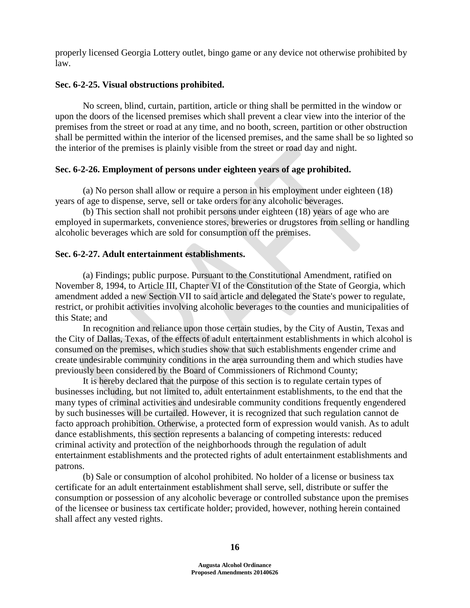properly licensed Georgia Lottery outlet, bingo game or any device not otherwise prohibited by law.

### **Sec. 6-2-25. Visual obstructions prohibited.**

No screen, blind, curtain, partition, article or thing shall be permitted in the window or upon the doors of the licensed premises which shall prevent a clear view into the interior of the premises from the street or road at any time, and no booth, screen, partition or other obstruction shall be permitted within the interior of the licensed premises, and the same shall be so lighted so the interior of the premises is plainly visible from the street or road day and night.

## **Sec. 6-2-26. Employment of persons under eighteen years of age prohibited.**

(a) No person shall allow or require a person in his employment under eighteen (18) years of age to dispense, serve, sell or take orders for any alcoholic beverages.

(b) This section shall not prohibit persons under eighteen (18) years of age who are employed in supermarkets, convenience stores, breweries or drugstores from selling or handling alcoholic beverages which are sold for consumption off the premises.

### **Sec. 6-2-27. Adult entertainment establishments.**

(a) Findings; public purpose. Pursuant to the Constitutional Amendment, ratified on November 8, 1994, to Article III, Chapter VI of the Constitution of the State of Georgia, which amendment added a new Section VII to said article and delegated the State's power to regulate, restrict, or prohibit activities involving alcoholic beverages to the counties and municipalities of this State; and

In recognition and reliance upon those certain studies, by the City of Austin, Texas and the City of Dallas, Texas, of the effects of adult entertainment establishments in which alcohol is consumed on the premises, which studies show that such establishments engender crime and create undesirable community conditions in the area surrounding them and which studies have previously been considered by the Board of Commissioners of Richmond County;

It is hereby declared that the purpose of this section is to regulate certain types of businesses including, but not limited to, adult entertainment establishments, to the end that the many types of criminal activities and undesirable community conditions frequently engendered by such businesses will be curtailed. However, it is recognized that such regulation cannot de facto approach prohibition. Otherwise, a protected form of expression would vanish. As to adult dance establishments, this section represents a balancing of competing interests: reduced criminal activity and protection of the neighborhoods through the regulation of adult entertainment establishments and the protected rights of adult entertainment establishments and patrons.

(b) Sale or consumption of alcohol prohibited. No holder of a license or business tax certificate for an adult entertainment establishment shall serve, sell, distribute or suffer the consumption or possession of any alcoholic beverage or controlled substance upon the premises of the licensee or business tax certificate holder; provided, however, nothing herein contained shall affect any vested rights.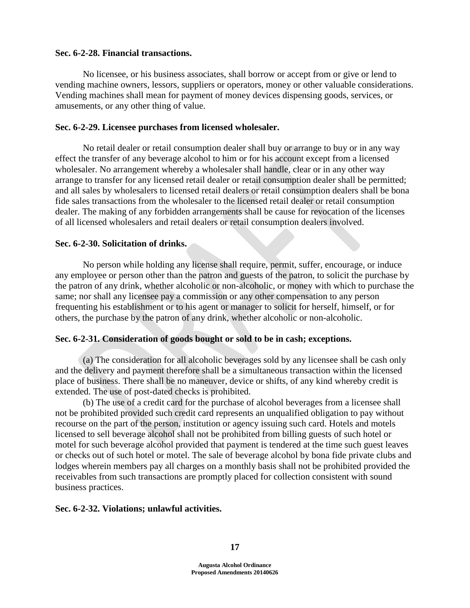### **Sec. 6-2-28. Financial transactions.**

No licensee, or his business associates, shall borrow or accept from or give or lend to vending machine owners, lessors, suppliers or operators, money or other valuable considerations. Vending machines shall mean for payment of money devices dispensing goods, services, or amusements, or any other thing of value.

### **Sec. 6-2-29. Licensee purchases from licensed wholesaler.**

No retail dealer or retail consumption dealer shall buy or arrange to buy or in any way effect the transfer of any beverage alcohol to him or for his account except from a licensed wholesaler. No arrangement whereby a wholesaler shall handle, clear or in any other way arrange to transfer for any licensed retail dealer or retail consumption dealer shall be permitted; and all sales by wholesalers to licensed retail dealers or retail consumption dealers shall be bona fide sales transactions from the wholesaler to the licensed retail dealer or retail consumption dealer. The making of any forbidden arrangements shall be cause for revocation of the licenses of all licensed wholesalers and retail dealers or retail consumption dealers involved.

### **Sec. 6-2-30. Solicitation of drinks.**

No person while holding any license shall require, permit, suffer, encourage, or induce any employee or person other than the patron and guests of the patron, to solicit the purchase by the patron of any drink, whether alcoholic or non-alcoholic, or money with which to purchase the same; nor shall any licensee pay a commission or any other compensation to any person frequenting his establishment or to his agent or manager to solicit for herself, himself, or for others, the purchase by the patron of any drink, whether alcoholic or non-alcoholic.

## **Sec. 6-2-31. Consideration of goods bought or sold to be in cash; exceptions.**

(a) The consideration for all alcoholic beverages sold by any licensee shall be cash only and the delivery and payment therefore shall be a simultaneous transaction within the licensed place of business. There shall be no maneuver, device or shifts, of any kind whereby credit is extended. The use of post-dated checks is prohibited.

(b) The use of a credit card for the purchase of alcohol beverages from a licensee shall not be prohibited provided such credit card represents an unqualified obligation to pay without recourse on the part of the person, institution or agency issuing such card. Hotels and motels licensed to sell beverage alcohol shall not be prohibited from billing guests of such hotel or motel for such beverage alcohol provided that payment is tendered at the time such guest leaves or checks out of such hotel or motel. The sale of beverage alcohol by bona fide private clubs and lodges wherein members pay all charges on a monthly basis shall not be prohibited provided the receivables from such transactions are promptly placed for collection consistent with sound business practices.

## **Sec. 6-2-32. Violations; unlawful activities.**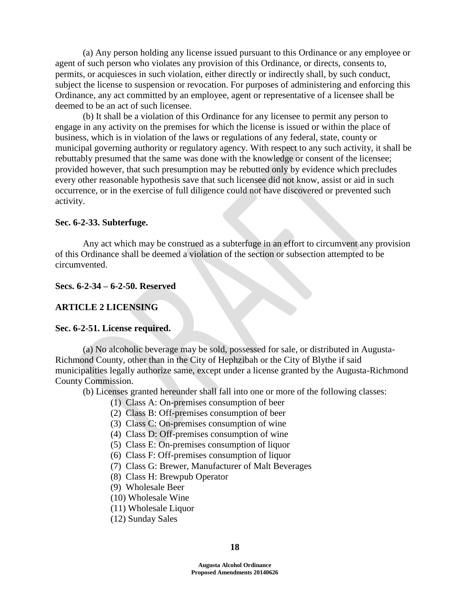(a) Any person holding any license issued pursuant to this Ordinance or any employee or agent of such person who violates any provision of this Ordinance, or directs, consents to, permits, or acquiesces in such violation, either directly or indirectly shall, by such conduct, subject the license to suspension or revocation. For purposes of administering and enforcing this Ordinance, any act committed by an employee, agent or representative of a licensee shall be deemed to be an act of such licensee.

(b) It shall be a violation of this Ordinance for any licensee to permit any person to engage in any activity on the premises for which the license is issued or within the place of business, which is in violation of the laws or regulations of any federal, state, county or municipal governing authority or regulatory agency. With respect to any such activity, it shall be rebuttably presumed that the same was done with the knowledge or consent of the licensee; provided however, that such presumption may be rebutted only by evidence which precludes every other reasonable hypothesis save that such licensee did not know, assist or aid in such occurrence, or in the exercise of full diligence could not have discovered or prevented such activity.

#### **Sec. 6-2-33. Subterfuge.**

Any act which may be construed as a subterfuge in an effort to circumvent any provision of this Ordinance shall be deemed a violation of the section or subsection attempted to be circumvented.

#### **Secs. 6-2-34 – 6-2-50. Reserved**

### **ARTICLE 2 LICENSING**

#### **Sec. 6-2-51. License required.**

(a) No alcoholic beverage may be sold, possessed for sale, or distributed in Augusta-Richmond County, other than in the City of Hephzibah or the City of Blythe if said municipalities legally authorize same, except under a license granted by the Augusta-Richmond County Commission.

(b) Licenses granted hereunder shall fall into one or more of the following classes:

- (1) Class A: On-premises consumption of beer
- (2) Class B: Off-premises consumption of beer
- (3) Class C: On-premises consumption of wine
- (4) Class D: Off-premises consumption of wine
- (5) Class E: On-premises consumption of liquor
- (6) Class F: Off-premises consumption of liquor
- (7) Class G: Brewer, Manufacturer of Malt Beverages
- (8) Class H: Brewpub Operator
- (9) Wholesale Beer
- (10) Wholesale Wine
- (11) Wholesale Liquor
- (12) Sunday Sales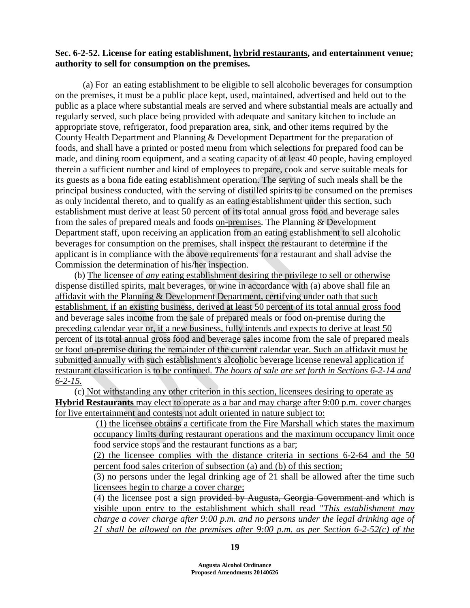## **Sec. 6-2-52. License for eating establishment, hybrid restaurants, and entertainment venue; authority to sell for consumption on the premises.**

(a) For an eating establishment to be eligible to sell alcoholic beverages for consumption on the premises, it must be a public place kept, used, maintained, advertised and held out to the public as a place where substantial meals are served and where substantial meals are actually and regularly served, such place being provided with adequate and sanitary kitchen to include an appropriate stove, refrigerator, food preparation area, sink, and other items required by the County Health Department and Planning & Development Department for the preparation of foods, and shall have a printed or posted menu from which selections for prepared food can be made, and dining room equipment, and a seating capacity of at least 40 people, having employed therein a sufficient number and kind of employees to prepare, cook and serve suitable meals for its guests as a bona fide eating establishment operation. The serving of such meals shall be the principal business conducted, with the serving of distilled spirits to be consumed on the premises as only incidental thereto, and to qualify as an eating establishment under this section, such establishment must derive at least 50 percent of its total annual gross food and beverage sales from the sales of prepared meals and foods on-premises. The Planning & Development Department staff, upon receiving an application from an eating establishment to sell alcoholic beverages for consumption on the premises, shall inspect the restaurant to determine if the applicant is in compliance with the above requirements for a restaurant and shall advise the Commission the determination of his/her inspection.

(b) The licensee of *any* eating establishment desiring the privilege to sell or otherwise dispense distilled spirits, malt beverages, or wine in accordance with (a) above shall file an affidavit with the Planning & Development Department, certifying under oath that such establishment, if an existing business, derived at least 50 percent of its total annual gross food and beverage sales income from the sale of prepared meals or food on-premise during the preceding calendar year or, if a new business, fully intends and expects to derive at least 50 percent of its total annual gross food and beverage sales income from the sale of prepared meals or food on-premise during the remainder of the current calendar year. Such an affidavit must be submitted annually with such establishment's alcoholic beverage license renewal application if restaurant classification is to be continued. *The hours of sale are set forth in Sections 6-2-14 and 6-2-15.*

(c) Not withstanding any other criterion in this section, licensees desiring to operate as **Hybrid Restaurants** may elect to operate as a bar and may charge after 9:00 p.m. cover charges for live entertainment and contests not adult oriented in nature subject to:

> (1) the licensee obtains a certificate from the Fire Marshall which states the maximum occupancy limits during restaurant operations and the maximum occupancy limit once food service stops and the restaurant functions as a bar;

> (2) the licensee complies with the distance criteria in sections 6-2-64 and the 50 percent food sales criterion of subsection (a) and (b) of this section;

> (3) no persons under the legal drinking age of 21 shall be allowed after the time such licensees begin to charge a cover charge;

> (4) the licensee post a sign provided by Augusta, Georgia Government and which is visible upon entry to the establishment which shall read "*This establishment may charge a cover charge after 9:00 p.m. and no persons under the legal drinking age of 21 shall be allowed on the premises after 9:00 p.m. as per Section 6-2-52(c) of the*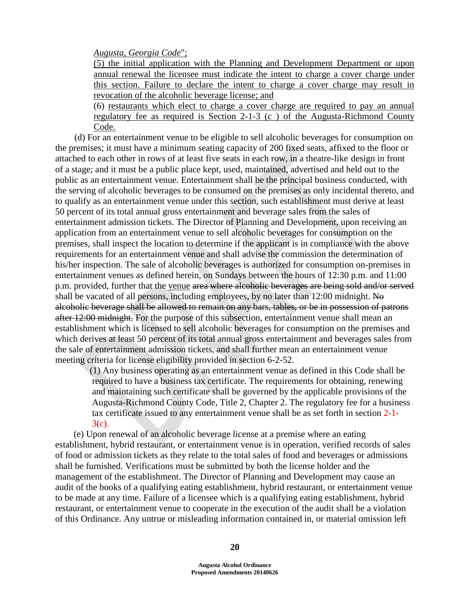*Augusta, Georgia Code*";

(5) the initial application with the Planning and Development Department or upon annual renewal the licensee must indicate the intent to charge a cover charge under this section. Failure to declare the intent to charge a cover charge may result in revocation of the alcoholic beverage license; and

(6) restaurants which elect to charge a cover charge are required to pay an annual regulatory fee as required is Section 2-1-3 (c ) of the Augusta-Richmond County Code.

(d) For an entertainment venue to be eligible to sell alcoholic beverages for consumption on the premises; it must have a minimum seating capacity of 200 fixed seats, affixed to the floor or attached to each other in rows of at least five seats in each row, in a theatre-like design in front of a stage; and it must be a public place kept, used, maintained, advertised and held out to the public as an entertainment venue. Entertainment shall be the principal business conducted, with the serving of alcoholic beverages to be consumed on the premises as only incidental thereto, and to qualify as an entertainment venue under this section, such establishment must derive at least 50 percent of its total annual gross entertainment and beverage sales from the sales of entertainment admission tickets. The Director of Planning and Development, upon receiving an application from an entertainment venue to sell alcoholic beverages for consumption on the premises, shall inspect the location to determine if the applicant is in compliance with the above requirements for an entertainment venue and shall advise the commission the determination of his/her inspection. The sale of alcoholic beverages is authorized for consumption on-premises in entertainment venues as defined herein, on Sundays between the hours of 12:30 p.m. and 11:00 p.m. provided, further that the venue area where alcoholic beverages are being sold and/or served shall be vacated of all persons, including employees, by no later than 12:00 midnight. No alcoholic beverage shall be allowed to remain on any bars, tables, or be in possession of patrons after 12:00 midnight. For the purpose of this subsection, entertainment venue shall mean an establishment which is licensed to sell alcoholic beverages for consumption on the premises and which derives at least 50 percent of its total annual gross entertainment and beverages sales from the sale of entertainment admission tickets, and shall further mean an entertainment venue meeting criteria for license eligibility provided in section 6-2-52.

 (1) Any business operating as an entertainment venue as defined in this Code shall be required to have a business tax certificate. The requirements for obtaining, renewing and maintaining such certificate shall be governed by the applicable provisions of the Augusta-Richmond County Code, Title 2, Chapter 2. The regulatory fee for a business tax certificate issued to any entertainment venue shall be as set forth in section 2-1- 3(c).

 (e) Upon renewal of an alcoholic beverage license at a premise where an eating establishment, hybrid restaurant, or entertainment venue is in operation, verified records of sales of food or admission tickets as they relate to the total sales of food and beverages or admissions shall be furnished. Verifications must be submitted by both the license holder and the management of the establishment. The Director of Planning and Development may cause an audit of the books of a qualifying eating establishment, hybrid restaurant, or entertainment venue to be made at any time. Failure of a licensee which is a qualifying eating establishment, hybrid restaurant, or entertainment venue to cooperate in the execution of the audit shall be a violation of this Ordinance. Any untrue or misleading information contained in, or material omission left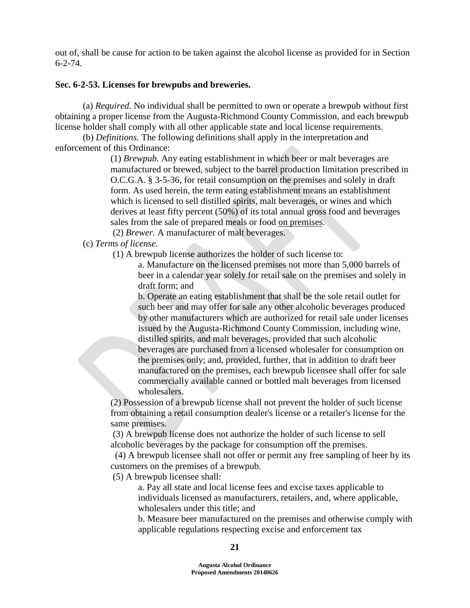out of, shall be cause for action to be taken against the alcohol license as provided for in Section 6-2-74.

### **Sec. 6-2-53. Licenses for brewpubs and breweries.**

(a) *Required.* No individual shall be permitted to own or operate a brewpub without first obtaining a proper license from the Augusta-Richmond County Commission, and each brewpub license holder shall comply with all other applicable state and local license requirements.

(b) *Definitions.* The following definitions shall apply in the interpretation and enforcement of this Ordinance:

> (1) *Brewpub.* Any eating establishment in which beer or malt beverages are manufactured or brewed, subject to the barrel production limitation prescribed in O.C.G.A. § 3-5-36, for retail consumption on the premises and solely in draft form. As used herein, the term eating establishment means an establishment which is licensed to sell distilled spirits, malt beverages, or wines and which derives at least fifty percent (50%) of its total annual gross food and beverages sales from the sale of prepared meals or food on premises.

(2) *Brewer.* A manufacturer of malt beverages.

(c) *Terms of license.*

(1) A brewpub license authorizes the holder of such license to:

a. Manufacture on the licensed premises not more than 5,000 barrels of beer in a calendar year solely for retail sale on the premises and solely in draft form; and

b. Operate an eating establishment that shall be the sole retail outlet for such beer and may offer for sale any other alcoholic beverages produced by other manufacturers which are authorized for retail sale under licenses issued by the Augusta-Richmond County Commission, including wine, distilled spirits, and malt beverages, provided that such alcoholic beverages are purchased from a licensed wholesaler for consumption on the premises only; and, provided, further, that in addition to draft beer manufactured on the premises, each brewpub licensee shall offer for sale commercially available canned or bottled malt beverages from licensed wholesalers.

(2) Possession of a brewpub license shall not prevent the holder of such license from obtaining a retail consumption dealer's license or a retailer's license for the same premises.

(3) A brewpub license does not authorize the holder of such license to sell alcoholic beverages by the package for consumption off the premises.

(4) A brewpub licensee shall not offer or permit any free sampling of beer by its customers on the premises of a brewpub.

(5) A brewpub licensee shall:

a. Pay all state and local license fees and excise taxes applicable to individuals licensed as manufacturers, retailers, and, where applicable, wholesalers under this title; and

b. Measure beer manufactured on the premises and otherwise comply with applicable regulations respecting excise and enforcement tax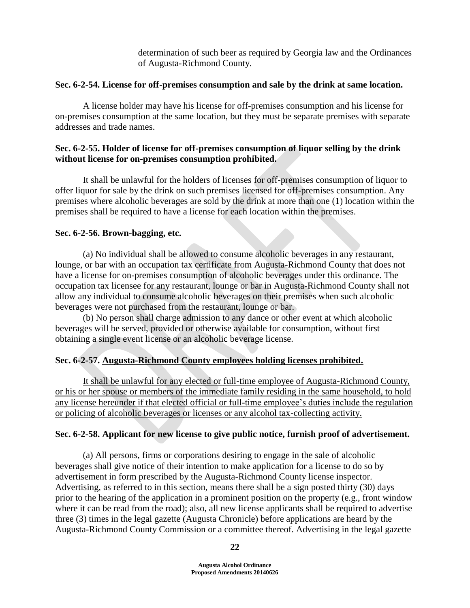determination of such beer as required by Georgia law and the Ordinances of Augusta-Richmond County.

# **Sec. 6-2-54. License for off-premises consumption and sale by the drink at same location.**

A license holder may have his license for off-premises consumption and his license for on-premises consumption at the same location, but they must be separate premises with separate addresses and trade names.

# **Sec. 6-2-55. Holder of license for off-premises consumption of liquor selling by the drink without license for on-premises consumption prohibited.**

It shall be unlawful for the holders of licenses for off-premises consumption of liquor to offer liquor for sale by the drink on such premises licensed for off-premises consumption. Any premises where alcoholic beverages are sold by the drink at more than one (1) location within the premises shall be required to have a license for each location within the premises.

# **Sec. 6-2-56. Brown-bagging, etc.**

(a) No individual shall be allowed to consume alcoholic beverages in any restaurant, lounge, or bar with an occupation tax certificate from Augusta-Richmond County that does not have a license for on-premises consumption of alcoholic beverages under this ordinance. The occupation tax licensee for any restaurant, lounge or bar in Augusta-Richmond County shall not allow any individual to consume alcoholic beverages on their premises when such alcoholic beverages were not purchased from the restaurant, lounge or bar.

(b) No person shall charge admission to any dance or other event at which alcoholic beverages will be served, provided or otherwise available for consumption, without first obtaining a single event license or an alcoholic beverage license.

# **Sec. 6-2-57. Augusta-Richmond County employees holding licenses prohibited.**

It shall be unlawful for any elected or full-time employee of Augusta-Richmond County, or his or her spouse or members of the immediate family residing in the same household, to hold any license hereunder if that elected official or full-time employee's duties include the regulation or policing of alcoholic beverages or licenses or any alcohol tax-collecting activity.

# **Sec. 6-2-58. Applicant for new license to give public notice, furnish proof of advertisement.**

(a) All persons, firms or corporations desiring to engage in the sale of alcoholic beverages shall give notice of their intention to make application for a license to do so by advertisement in form prescribed by the Augusta-Richmond County license inspector. Advertising, as referred to in this section, means there shall be a sign posted thirty (30) days prior to the hearing of the application in a prominent position on the property (e.g., front window where it can be read from the road); also, all new license applicants shall be required to advertise three (3) times in the legal gazette (Augusta Chronicle) before applications are heard by the Augusta-Richmond County Commission or a committee thereof. Advertising in the legal gazette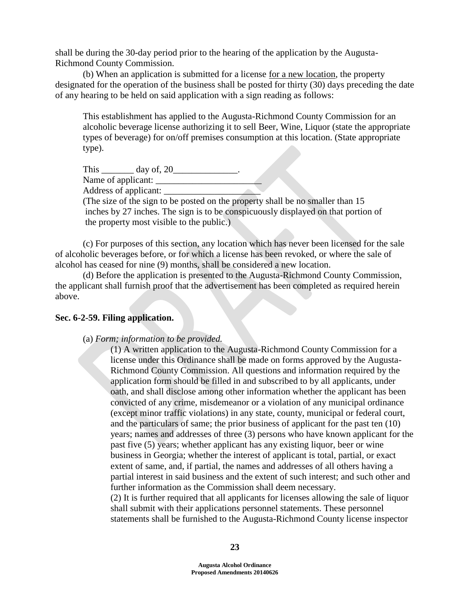shall be during the 30-day period prior to the hearing of the application by the Augusta-Richmond County Commission.

(b) When an application is submitted for a license for a new location, the property designated for the operation of the business shall be posted for thirty (30) days preceding the date of any hearing to be held on said application with a sign reading as follows:

This establishment has applied to the Augusta-Richmond County Commission for an alcoholic beverage license authorizing it to sell Beer, Wine, Liquor (state the appropriate types of beverage) for on/off premises consumption at this location. (State appropriate type).

This \_\_\_\_\_\_\_\_ day of, 20\_\_\_\_\_\_\_\_\_\_\_\_\_\_. Name of applicant: \_\_\_\_\_\_\_\_\_\_\_\_\_\_\_\_\_\_\_\_\_\_\_ Address of applicant: (The size of the sign to be posted on the property shall be no smaller than 15 inches by 27 inches. The sign is to be conspicuously displayed on that portion of the property most visible to the public.)

(c) For purposes of this section, any location which has never been licensed for the sale of alcoholic beverages before, or for which a license has been revoked, or where the sale of alcohol has ceased for nine (9) months, shall be considered a new location.

(d) Before the application is presented to the Augusta-Richmond County Commission, the applicant shall furnish proof that the advertisement has been completed as required herein above.

## **Sec. 6-2-59. Filing application.**

### (a) *Form; information to be provided.*

(1) A written application to the Augusta-Richmond County Commission for a license under this Ordinance shall be made on forms approved by the Augusta-Richmond County Commission. All questions and information required by the application form should be filled in and subscribed to by all applicants, under oath, and shall disclose among other information whether the applicant has been convicted of any crime, misdemeanor or a violation of any municipal ordinance (except minor traffic violations) in any state, county, municipal or federal court, and the particulars of same; the prior business of applicant for the past ten (10) years; names and addresses of three (3) persons who have known applicant for the past five (5) years; whether applicant has any existing liquor, beer or wine business in Georgia; whether the interest of applicant is total, partial, or exact extent of same, and, if partial, the names and addresses of all others having a partial interest in said business and the extent of such interest; and such other and further information as the Commission shall deem necessary.

(2) It is further required that all applicants for licenses allowing the sale of liquor shall submit with their applications personnel statements. These personnel statements shall be furnished to the Augusta-Richmond County license inspector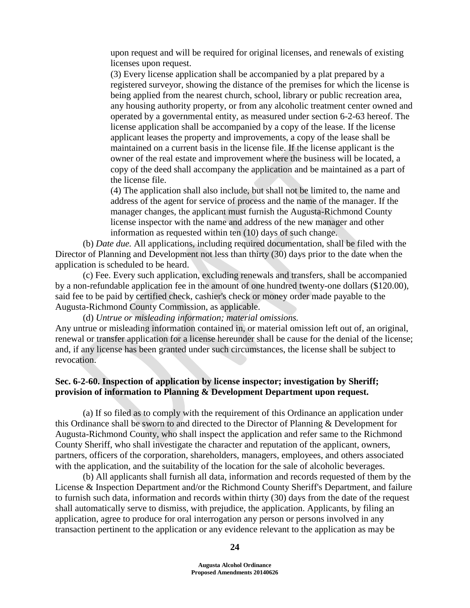upon request and will be required for original licenses, and renewals of existing licenses upon request.

(3) Every license application shall be accompanied by a plat prepared by a registered surveyor, showing the distance of the premises for which the license is being applied from the nearest church, school, library or public recreation area, any housing authority property, or from any alcoholic treatment center owned and operated by a governmental entity, as measured under section 6-2-63 hereof. The license application shall be accompanied by a copy of the lease. If the license applicant leases the property and improvements, a copy of the lease shall be maintained on a current basis in the license file. If the license applicant is the owner of the real estate and improvement where the business will be located, a copy of the deed shall accompany the application and be maintained as a part of the license file.

(4) The application shall also include, but shall not be limited to, the name and address of the agent for service of process and the name of the manager. If the manager changes, the applicant must furnish the Augusta-Richmond County license inspector with the name and address of the new manager and other information as requested within ten (10) days of such change.

(b) *Date due.* All applications, including required documentation, shall be filed with the Director of Planning and Development not less than thirty (30) days prior to the date when the application is scheduled to be heard.

(c) Fee. Every such application, excluding renewals and transfers, shall be accompanied by a non-refundable application fee in the amount of one hundred twenty-one dollars (\$120.00), said fee to be paid by certified check, cashier's check or money order made payable to the Augusta-Richmond County Commission, as applicable.

(d) *Untrue or misleading information; material omissions.* 

Any untrue or misleading information contained in, or material omission left out of, an original, renewal or transfer application for a license hereunder shall be cause for the denial of the license; and, if any license has been granted under such circumstances, the license shall be subject to revocation.

# **Sec. 6-2-60. Inspection of application by license inspector; investigation by Sheriff; provision of information to Planning & Development Department upon request.**

(a) If so filed as to comply with the requirement of this Ordinance an application under this Ordinance shall be sworn to and directed to the Director of Planning & Development for Augusta-Richmond County, who shall inspect the application and refer same to the Richmond County Sheriff, who shall investigate the character and reputation of the applicant, owners, partners, officers of the corporation, shareholders, managers, employees, and others associated with the application, and the suitability of the location for the sale of alcoholic beverages.

(b) All applicants shall furnish all data, information and records requested of them by the License & Inspection Department and/or the Richmond County Sheriff's Department, and failure to furnish such data, information and records within thirty (30) days from the date of the request shall automatically serve to dismiss, with prejudice, the application. Applicants, by filing an application, agree to produce for oral interrogation any person or persons involved in any transaction pertinent to the application or any evidence relevant to the application as may be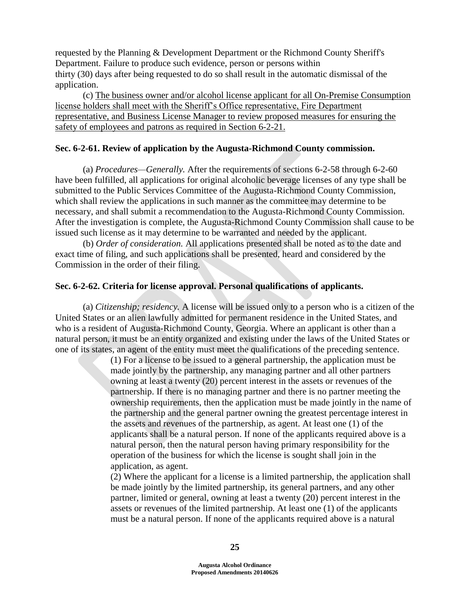requested by the Planning & Development Department or the Richmond County Sheriff's Department. Failure to produce such evidence, person or persons within thirty (30) days after being requested to do so shall result in the automatic dismissal of the application.

(c) The business owner and/or alcohol license applicant for all On-Premise Consumption license holders shall meet with the Sheriff's Office representative, Fire Department representative, and Business License Manager to review proposed measures for ensuring the safety of employees and patrons as required in Section 6-2-21.

### **Sec. 6-2-61. Review of application by the Augusta-Richmond County commission.**

(a) *Procedures—Generally.* After the requirements of sections 6-2-58 through 6-2-60 have been fulfilled, all applications for original alcoholic beverage licenses of any type shall be submitted to the Public Services Committee of the Augusta-Richmond County Commission, which shall review the applications in such manner as the committee may determine to be necessary, and shall submit a recommendation to the Augusta-Richmond County Commission. After the investigation is complete, the Augusta-Richmond County Commission shall cause to be issued such license as it may determine to be warranted and needed by the applicant.

(b) *Order of consideration.* All applications presented shall be noted as to the date and exact time of filing, and such applications shall be presented, heard and considered by the Commission in the order of their filing.

### **Sec. 6-2-62. Criteria for license approval. Personal qualifications of applicants.**

(a) *Citizenship; residency.* A license will be issued only to a person who is a citizen of the United States or an alien lawfully admitted for permanent residence in the United States, and who is a resident of Augusta-Richmond County, Georgia. Where an applicant is other than a natural person, it must be an entity organized and existing under the laws of the United States or one of its states, an agent of the entity must meet the qualifications of the preceding sentence.

> (1) For a license to be issued to a general partnership, the application must be made jointly by the partnership, any managing partner and all other partners owning at least a twenty (20) percent interest in the assets or revenues of the partnership. If there is no managing partner and there is no partner meeting the ownership requirements, then the application must be made jointly in the name of the partnership and the general partner owning the greatest percentage interest in the assets and revenues of the partnership, as agent. At least one (1) of the applicants shall be a natural person. If none of the applicants required above is a natural person, then the natural person having primary responsibility for the operation of the business for which the license is sought shall join in the application, as agent.

> (2) Where the applicant for a license is a limited partnership, the application shall be made jointly by the limited partnership, its general partners, and any other partner, limited or general, owning at least a twenty (20) percent interest in the assets or revenues of the limited partnership. At least one (1) of the applicants must be a natural person. If none of the applicants required above is a natural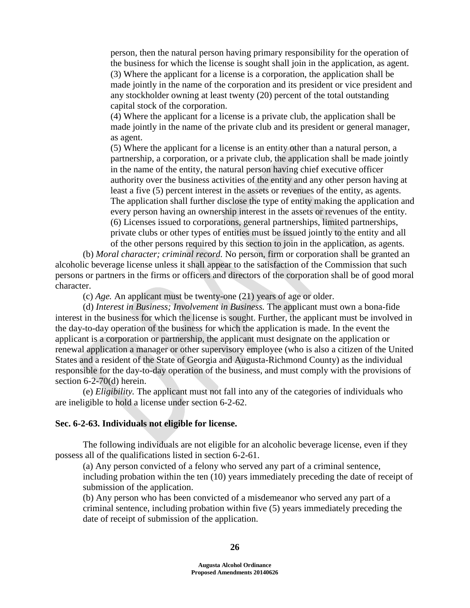person, then the natural person having primary responsibility for the operation of the business for which the license is sought shall join in the application, as agent. (3) Where the applicant for a license is a corporation, the application shall be made jointly in the name of the corporation and its president or vice president and any stockholder owning at least twenty (20) percent of the total outstanding capital stock of the corporation.

(4) Where the applicant for a license is a private club, the application shall be made jointly in the name of the private club and its president or general manager, as agent.

(5) Where the applicant for a license is an entity other than a natural person, a partnership, a corporation, or a private club, the application shall be made jointly in the name of the entity, the natural person having chief executive officer authority over the business activities of the entity and any other person having at least a five (5) percent interest in the assets or revenues of the entity, as agents. The application shall further disclose the type of entity making the application and every person having an ownership interest in the assets or revenues of the entity. (6) Licenses issued to corporations, general partnerships, limited partnerships, private clubs or other types of entities must be issued jointly to the entity and all of the other persons required by this section to join in the application, as agents.

(b) *Moral character; criminal record.* No person, firm or corporation shall be granted an alcoholic beverage license unless it shall appear to the satisfaction of the Commission that such persons or partners in the firms or officers and directors of the corporation shall be of good moral character.

(c) *Age.* An applicant must be twenty-one (21) years of age or older.

(d) *Interest in Business; Involvement in Business.* The applicant must own a bona-fide interest in the business for which the license is sought. Further, the applicant must be involved in the day-to-day operation of the business for which the application is made. In the event the applicant is a corporation or partnership, the applicant must designate on the application or renewal application a manager or other supervisory employee (who is also a citizen of the United States and a resident of the State of Georgia and Augusta-Richmond County) as the individual responsible for the day-to-day operation of the business, and must comply with the provisions of section 6-2-70(d) herein.

(e) *Eligibility.* The applicant must not fall into any of the categories of individuals who are ineligible to hold a license under section 6-2-62.

### **Sec. 6-2-63. Individuals not eligible for license.**

The following individuals are not eligible for an alcoholic beverage license, even if they possess all of the qualifications listed in section 6-2-61.

(a) Any person convicted of a felony who served any part of a criminal sentence, including probation within the ten (10) years immediately preceding the date of receipt of submission of the application.

(b) Any person who has been convicted of a misdemeanor who served any part of a criminal sentence, including probation within five (5) years immediately preceding the date of receipt of submission of the application.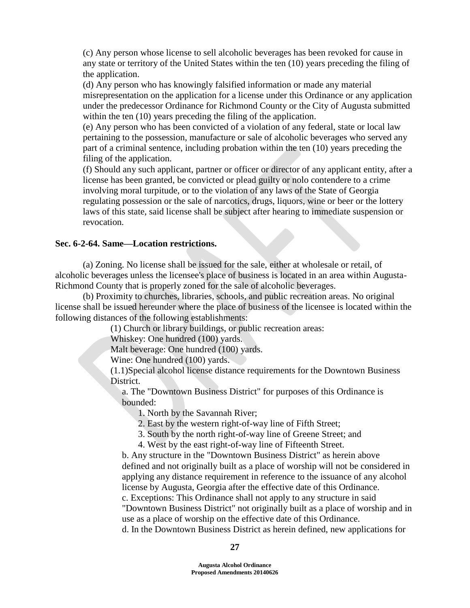(c) Any person whose license to sell alcoholic beverages has been revoked for cause in any state or territory of the United States within the ten (10) years preceding the filing of the application.

(d) Any person who has knowingly falsified information or made any material misrepresentation on the application for a license under this Ordinance or any application under the predecessor Ordinance for Richmond County or the City of Augusta submitted within the ten (10) years preceding the filing of the application.

(e) Any person who has been convicted of a violation of any federal, state or local law pertaining to the possession, manufacture or sale of alcoholic beverages who served any part of a criminal sentence, including probation within the ten (10) years preceding the filing of the application.

(f) Should any such applicant, partner or officer or director of any applicant entity, after a license has been granted, be convicted or plead guilty or nolo contendere to a crime involving moral turpitude, or to the violation of any laws of the State of Georgia regulating possession or the sale of narcotics, drugs, liquors, wine or beer or the lottery laws of this state, said license shall be subject after hearing to immediate suspension or revocation.

### **Sec. 6-2-64. Same—Location restrictions.**

(a) Zoning. No license shall be issued for the sale, either at wholesale or retail, of alcoholic beverages unless the licensee's place of business is located in an area within Augusta-Richmond County that is properly zoned for the sale of alcoholic beverages.

(b) Proximity to churches, libraries, schools, and public recreation areas. No original license shall be issued hereunder where the place of business of the licensee is located within the following distances of the following establishments:

(1) Church or library buildings, or public recreation areas:

Whiskey: One hundred (100) yards.

Malt beverage: One hundred (100) yards.

Wine: One hundred (100) yards.

(1.1)Special alcohol license distance requirements for the Downtown Business District.

 a. The "Downtown Business District" for purposes of this Ordinance is bounded:

1. North by the Savannah River;

2. East by the western right-of-way line of Fifth Street;

3. South by the north right-of-way line of Greene Street; and

4. West by the east right-of-way line of Fifteenth Street.

 b. Any structure in the "Downtown Business District" as herein above defined and not originally built as a place of worship will not be considered in applying any distance requirement in reference to the issuance of any alcohol license by Augusta, Georgia after the effective date of this Ordinance.

 c. Exceptions: This Ordinance shall not apply to any structure in said "Downtown Business District" not originally built as a place of worship and in use as a place of worship on the effective date of this Ordinance.

d. In the Downtown Business District as herein defined, new applications for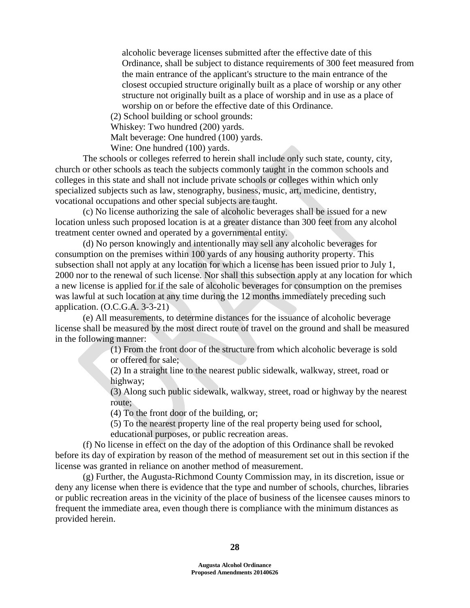alcoholic beverage licenses submitted after the effective date of this Ordinance, shall be subject to distance requirements of 300 feet measured from the main entrance of the applicant's structure to the main entrance of the closest occupied structure originally built as a place of worship or any other structure not originally built as a place of worship and in use as a place of worship on or before the effective date of this Ordinance.

(2) School building or school grounds:

Whiskey: Two hundred (200) yards.

Malt beverage: One hundred (100) yards.

Wine: One hundred (100) yards.

The schools or colleges referred to herein shall include only such state, county, city, church or other schools as teach the subjects commonly taught in the common schools and colleges in this state and shall not include private schools or colleges within which only specialized subjects such as law, stenography, business, music, art, medicine, dentistry, vocational occupations and other special subjects are taught.

(c) No license authorizing the sale of alcoholic beverages shall be issued for a new location unless such proposed location is at a greater distance than 300 feet from any alcohol treatment center owned and operated by a governmental entity.

(d) No person knowingly and intentionally may sell any alcoholic beverages for consumption on the premises within 100 yards of any housing authority property. This subsection shall not apply at any location for which a license has been issued prior to July 1, 2000 nor to the renewal of such license. Nor shall this subsection apply at any location for which a new license is applied for if the sale of alcoholic beverages for consumption on the premises was lawful at such location at any time during the 12 months immediately preceding such application. (O.C.G.A. 3-3-21)

(e) All measurements, to determine distances for the issuance of alcoholic beverage license shall be measured by the most direct route of travel on the ground and shall be measured in the following manner:

> (1) From the front door of the structure from which alcoholic beverage is sold or offered for sale;

(2) In a straight line to the nearest public sidewalk, walkway, street, road or highway;

(3) Along such public sidewalk, walkway, street, road or highway by the nearest route;

(4) To the front door of the building, or;

 (5) To the nearest property line of the real property being used for school, educational purposes, or public recreation areas.

(f) No license in effect on the day of the adoption of this Ordinance shall be revoked before its day of expiration by reason of the method of measurement set out in this section if the license was granted in reliance on another method of measurement.

(g) Further, the Augusta-Richmond County Commission may, in its discretion, issue or deny any license when there is evidence that the type and number of schools, churches, libraries or public recreation areas in the vicinity of the place of business of the licensee causes minors to frequent the immediate area, even though there is compliance with the minimum distances as provided herein.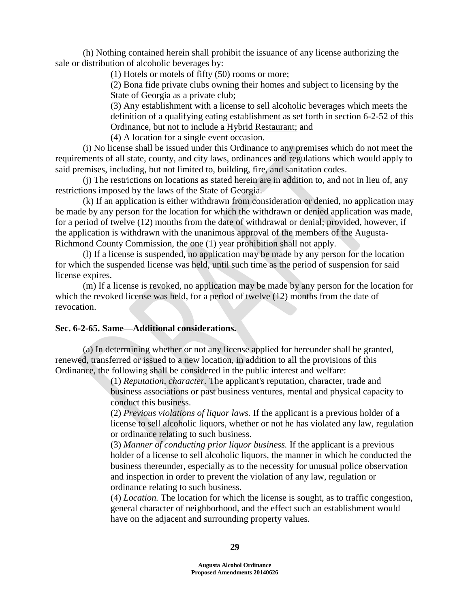(h) Nothing contained herein shall prohibit the issuance of any license authorizing the sale or distribution of alcoholic beverages by:

(1) Hotels or motels of fifty (50) rooms or more;

(2) Bona fide private clubs owning their homes and subject to licensing by the State of Georgia as a private club;

(3) Any establishment with a license to sell alcoholic beverages which meets the definition of a qualifying eating establishment as set forth in section 6-2-52 of this Ordinance, but not to include a Hybrid Restaurant; and

(4) A location for a single event occasion.

(i) No license shall be issued under this Ordinance to any premises which do not meet the requirements of all state, county, and city laws, ordinances and regulations which would apply to said premises, including, but not limited to, building, fire, and sanitation codes.

(j) The restrictions on locations as stated herein are in addition to, and not in lieu of, any restrictions imposed by the laws of the State of Georgia.

(k) If an application is either withdrawn from consideration or denied, no application may be made by any person for the location for which the withdrawn or denied application was made, for a period of twelve (12) months from the date of withdrawal or denial; provided, however, if the application is withdrawn with the unanimous approval of the members of the Augusta-Richmond County Commission, the one (1) year prohibition shall not apply.

(l) If a license is suspended, no application may be made by any person for the location for which the suspended license was held, until such time as the period of suspension for said license expires.

(m) If a license is revoked, no application may be made by any person for the location for which the revoked license was held, for a period of twelve (12) months from the date of revocation.

## **Sec. 6-2-65. Same—Additional considerations.**

(a) In determining whether or not any license applied for hereunder shall be granted, renewed, transferred or issued to a new location, in addition to all the provisions of this Ordinance, the following shall be considered in the public interest and welfare:

> (1) *Reputation, character.* The applicant's reputation, character, trade and business associations or past business ventures, mental and physical capacity to conduct this business.

(2) *Previous violations of liquor laws.* If the applicant is a previous holder of a license to sell alcoholic liquors, whether or not he has violated any law, regulation or ordinance relating to such business.

(3) *Manner of conducting prior liquor business.* If the applicant is a previous holder of a license to sell alcoholic liquors, the manner in which he conducted the business thereunder, especially as to the necessity for unusual police observation and inspection in order to prevent the violation of any law, regulation or ordinance relating to such business.

(4) *Location.* The location for which the license is sought, as to traffic congestion, general character of neighborhood, and the effect such an establishment would have on the adjacent and surrounding property values.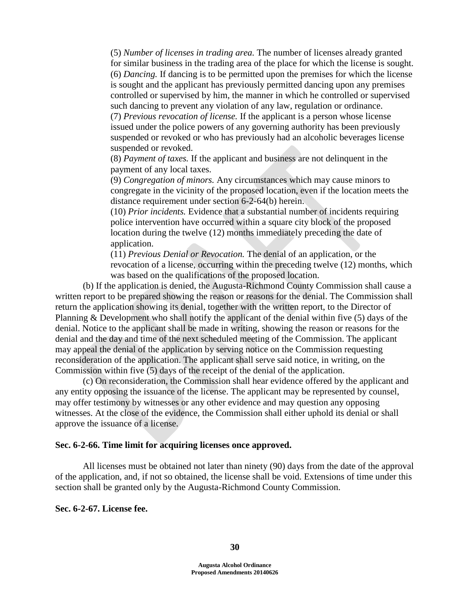(5) *Number of licenses in trading area.* The number of licenses already granted for similar business in the trading area of the place for which the license is sought. (6) *Dancing.* If dancing is to be permitted upon the premises for which the license is sought and the applicant has previously permitted dancing upon any premises controlled or supervised by him, the manner in which he controlled or supervised such dancing to prevent any violation of any law, regulation or ordinance. (7) *Previous revocation of license.* If the applicant is a person whose license issued under the police powers of any governing authority has been previously suspended or revoked or who has previously had an alcoholic beverages license suspended or revoked.

(8) *Payment of taxes.* If the applicant and business are not delinquent in the payment of any local taxes.

(9) *Congregation of minors.* Any circumstances which may cause minors to congregate in the vicinity of the proposed location, even if the location meets the distance requirement under section 6-2-64(b) herein.

(10) *Prior incidents.* Evidence that a substantial number of incidents requiring police intervention have occurred within a square city block of the proposed location during the twelve (12) months immediately preceding the date of application.

(11) *Previous Denial or Revocation.* The denial of an application, or the revocation of a license, occurring within the preceding twelve (12) months, which was based on the qualifications of the proposed location.

(b) If the application is denied, the Augusta-Richmond County Commission shall cause a written report to be prepared showing the reason or reasons for the denial. The Commission shall return the application showing its denial, together with the written report, to the Director of Planning & Development who shall notify the applicant of the denial within five (5) days of the denial. Notice to the applicant shall be made in writing, showing the reason or reasons for the denial and the day and time of the next scheduled meeting of the Commission. The applicant may appeal the denial of the application by serving notice on the Commission requesting reconsideration of the application. The applicant shall serve said notice, in writing, on the Commission within five (5) days of the receipt of the denial of the application.

(c) On reconsideration, the Commission shall hear evidence offered by the applicant and any entity opposing the issuance of the license. The applicant may be represented by counsel, may offer testimony by witnesses or any other evidence and may question any opposing witnesses. At the close of the evidence, the Commission shall either uphold its denial or shall approve the issuance of a license.

#### **Sec. 6-2-66. Time limit for acquiring licenses once approved.**

All licenses must be obtained not later than ninety (90) days from the date of the approval of the application, and, if not so obtained, the license shall be void. Extensions of time under this section shall be granted only by the Augusta-Richmond County Commission.

**Sec. 6-2-67. License fee.**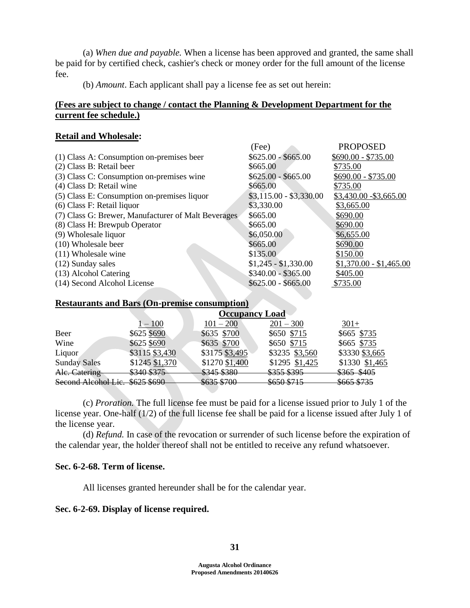(a) *When due and payable.* When a license has been approved and granted, the same shall be paid for by certified check, cashier's check or money order for the full amount of the license fee.

(b) *Amount*. Each applicant shall pay a license fee as set out herein:

## **(Fees are subject to change / contact the Planning & Development Department for the current fee schedule.)**

### **Retail and Wholesale:**

|                                                     | (Fee)                   | <b>PROPOSED</b>         |
|-----------------------------------------------------|-------------------------|-------------------------|
| (1) Class A: Consumption on-premises beer           | $$625.00 - $665.00$     | $$690.00 - $735.00$     |
| (2) Class B: Retail beer                            | \$665.00                | \$735.00                |
| (3) Class C: Consumption on-premises wine           | $$625.00 - $665.00$     | $$690.00 - $735.00$     |
| (4) Class D: Retail wine                            | \$665.00                | \$735.00                |
| (5) Class E: Consumption on-premises liquor         | $$3,115.00 - $3,330.00$ | \$3,430.00 - \$3,665.00 |
| (6) Class F: Retail liquor                          | \$3,330.00              | \$3,665.00              |
| (7) Class G: Brewer, Manufacturer of Malt Beverages | \$665.00                | \$690.00                |
| (8) Class H: Brewpub Operator                       | \$665.00                | \$690.00                |
| (9) Wholesale liquor                                | \$6,050.00              | \$6,655.00              |
| (10) Wholesale beer                                 | \$665.00                | \$690.00                |
| $(11)$ Wholesale wine                               | \$135.00                | \$150.00                |
| $(12)$ Sunday sales                                 | $$1,245 - $1,330.00$    | $$1,370.00 - $1,465.00$ |
| (13) Alcohol Catering                               | $$340.00 - $365.00$     | \$405.00                |
| (14) Second Alcohol License                         | $$625.00 - $665.00$     | \$735.00                |
|                                                     |                         |                         |

### **Restaurants and Bars (On-premise consumption)**

|                     | <b>Occupancy Load</b>               |                                                  |                                    |                                   |  |
|---------------------|-------------------------------------|--------------------------------------------------|------------------------------------|-----------------------------------|--|
|                     | $1-100$                             | $101 - 200$                                      | $201 - 300$                        | $301+$                            |  |
| Beer                | \$625 \$690                         | \$635 \$700                                      | \$650 \$715                        | \$665 \$735                       |  |
| Wine                | \$625 \$690                         | \$635 \$700                                      | \$650 \$715                        | \$665 \$735                       |  |
| Liquor              | \$3115 \$3,430                      | \$3175 \$3,495                                   | \$3235 \$3,560                     | \$3330 \$3,665                    |  |
| <b>Sunday Sales</b> | \$1245 \$1,370                      | \$1270 \$1,400                                   | \$1295 \$1,425                     | \$1330 \$1,465                    |  |
| Ale. Catering       | 4340 4375°<br><del>TILO DJ 19</del> | 4215 4280<br><del>TUCE GLUD</del>                | \$355 \$395                        | \$365 \$405                       |  |
| Second Alcohol Lic. | $\cos 2\pi$<br><del>wu∠u wuxu</del> | $\sqrt{625}$ $\sqrt{700}$<br><del>TUD 2000</del> | \$650\$715<br><del>9050 9715</del> | \$665 \$735<br><del>www.crw</del> |  |

(c) *Proration.* The full license fee must be paid for a license issued prior to July 1 of the license year. One-half (1/2) of the full license fee shall be paid for a license issued after July 1 of the license year.

(d) *Refund.* In case of the revocation or surrender of such license before the expiration of the calendar year, the holder thereof shall not be entitled to receive any refund whatsoever.

## **Sec. 6-2-68. Term of license.**

All licenses granted hereunder shall be for the calendar year.

### **Sec. 6-2-69. Display of license required.**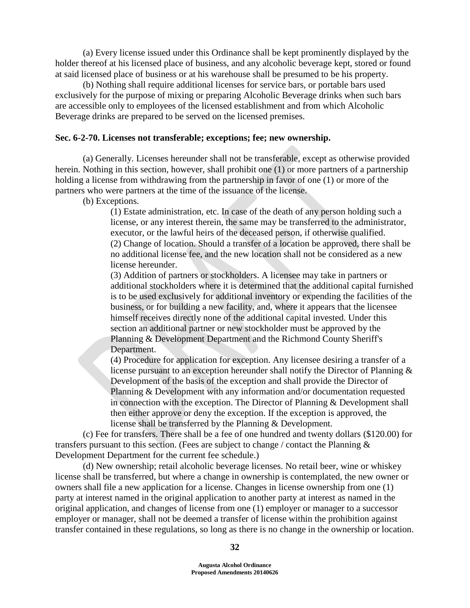(a) Every license issued under this Ordinance shall be kept prominently displayed by the holder thereof at his licensed place of business, and any alcoholic beverage kept, stored or found at said licensed place of business or at his warehouse shall be presumed to be his property.

(b) Nothing shall require additional licenses for service bars, or portable bars used exclusively for the purpose of mixing or preparing Alcoholic Beverage drinks when such bars are accessible only to employees of the licensed establishment and from which Alcoholic Beverage drinks are prepared to be served on the licensed premises.

### **Sec. 6-2-70. Licenses not transferable; exceptions; fee; new ownership.**

(a) Generally. Licenses hereunder shall not be transferable, except as otherwise provided herein. Nothing in this section, however, shall prohibit one (1) or more partners of a partnership holding a license from withdrawing from the partnership in favor of one (1) or more of the partners who were partners at the time of the issuance of the license.

(b) Exceptions.

(1) Estate administration, etc. In case of the death of any person holding such a license, or any interest therein, the same may be transferred to the administrator, executor, or the lawful heirs of the deceased person, if otherwise qualified. (2) Change of location. Should a transfer of a location be approved, there shall be no additional license fee, and the new location shall not be considered as a new license hereunder.

(3) Addition of partners or stockholders. A licensee may take in partners or additional stockholders where it is determined that the additional capital furnished is to be used exclusively for additional inventory or expending the facilities of the business, or for building a new facility, and, where it appears that the licensee himself receives directly none of the additional capital invested. Under this section an additional partner or new stockholder must be approved by the Planning & Development Department and the Richmond County Sheriff's Department.

(4) Procedure for application for exception. Any licensee desiring a transfer of a license pursuant to an exception hereunder shall notify the Director of Planning & Development of the basis of the exception and shall provide the Director of Planning & Development with any information and/or documentation requested in connection with the exception. The Director of Planning & Development shall then either approve or deny the exception. If the exception is approved, the license shall be transferred by the Planning & Development.

(c) Fee for transfers. There shall be a fee of one hundred and twenty dollars (\$120.00) for transfers pursuant to this section. (Fees are subject to change / contact the Planning  $\&$ Development Department for the current fee schedule.)

(d) New ownership; retail alcoholic beverage licenses. No retail beer, wine or whiskey license shall be transferred, but where a change in ownership is contemplated, the new owner or owners shall file a new application for a license. Changes in license ownership from one (1) party at interest named in the original application to another party at interest as named in the original application, and changes of license from one (1) employer or manager to a successor employer or manager, shall not be deemed a transfer of license within the prohibition against transfer contained in these regulations, so long as there is no change in the ownership or location.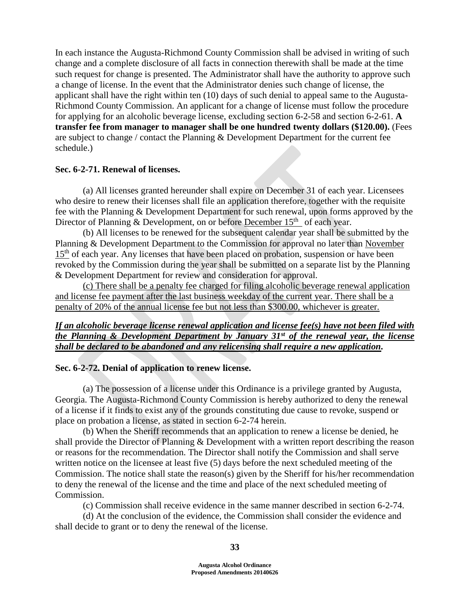In each instance the Augusta-Richmond County Commission shall be advised in writing of such change and a complete disclosure of all facts in connection therewith shall be made at the time such request for change is presented. The Administrator shall have the authority to approve such a change of license. In the event that the Administrator denies such change of license, the applicant shall have the right within ten (10) days of such denial to appeal same to the Augusta-Richmond County Commission. An applicant for a change of license must follow the procedure for applying for an alcoholic beverage license, excluding section 6-2-58 and section 6-2-61. **A transfer fee from manager to manager shall be one hundred twenty dollars (\$120.00).** (Fees are subject to change / contact the Planning & Development Department for the current fee schedule.)

### **Sec. 6-2-71. Renewal of licenses.**

(a) All licenses granted hereunder shall expire on December 31 of each year. Licensees who desire to renew their licenses shall file an application therefore, together with the requisite fee with the Planning & Development Department for such renewal, upon forms approved by the Director of Planning & Development, on or before December  $15<sup>th</sup>$  of each year.

(b) All licenses to be renewed for the subsequent calendar year shall be submitted by the Planning & Development Department to the Commission for approval no later than November 15<sup>th</sup> of each year. Any licenses that have been placed on probation, suspension or have been revoked by the Commission during the year shall be submitted on a separate list by the Planning & Development Department for review and consideration for approval.

(c) There shall be a penalty fee charged for filing alcoholic beverage renewal application and license fee payment after the last business weekday of the current year. There shall be a penalty of 20% of the annual license fee but not less than \$300.00, whichever is greater.

## *If an alcoholic beverage license renewal application and license fee(s) have not been filed with the Planning & Development Department by January 31st of the renewal year, the license shall be declared to be abandoned and any relicensing shall require a new application.*

### **Sec. 6-2-72. Denial of application to renew license.**

(a) The possession of a license under this Ordinance is a privilege granted by Augusta, Georgia. The Augusta-Richmond County Commission is hereby authorized to deny the renewal of a license if it finds to exist any of the grounds constituting due cause to revoke, suspend or place on probation a license, as stated in section 6-2-74 herein.

(b) When the Sheriff recommends that an application to renew a license be denied, he shall provide the Director of Planning & Development with a written report describing the reason or reasons for the recommendation. The Director shall notify the Commission and shall serve written notice on the licensee at least five (5) days before the next scheduled meeting of the Commission. The notice shall state the reason(s) given by the Sheriff for his/her recommendation to deny the renewal of the license and the time and place of the next scheduled meeting of Commission.

(c) Commission shall receive evidence in the same manner described in section 6-2-74.

(d) At the conclusion of the evidence, the Commission shall consider the evidence and shall decide to grant or to deny the renewal of the license.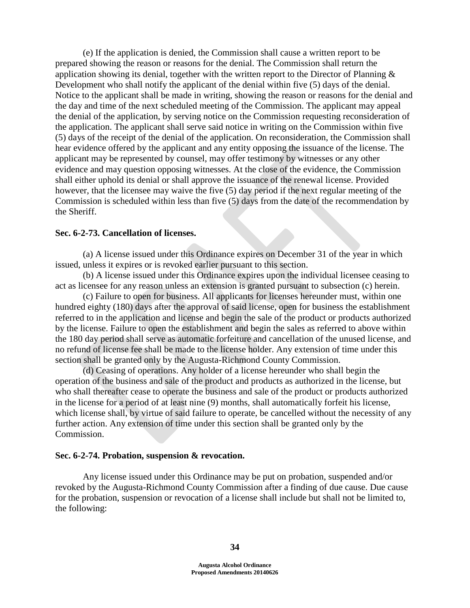(e) If the application is denied, the Commission shall cause a written report to be prepared showing the reason or reasons for the denial. The Commission shall return the application showing its denial, together with the written report to the Director of Planning  $\&$ Development who shall notify the applicant of the denial within five (5) days of the denial. Notice to the applicant shall be made in writing, showing the reason or reasons for the denial and the day and time of the next scheduled meeting of the Commission. The applicant may appeal the denial of the application, by serving notice on the Commission requesting reconsideration of the application. The applicant shall serve said notice in writing on the Commission within five (5) days of the receipt of the denial of the application. On reconsideration, the Commission shall hear evidence offered by the applicant and any entity opposing the issuance of the license. The applicant may be represented by counsel, may offer testimony by witnesses or any other evidence and may question opposing witnesses. At the close of the evidence, the Commission shall either uphold its denial or shall approve the issuance of the renewal license. Provided however, that the licensee may waive the five (5) day period if the next regular meeting of the Commission is scheduled within less than five (5) days from the date of the recommendation by the Sheriff.

### **Sec. 6-2-73. Cancellation of licenses.**

(a) A license issued under this Ordinance expires on December 31 of the year in which issued, unless it expires or is revoked earlier pursuant to this section.

(b) A license issued under this Ordinance expires upon the individual licensee ceasing to act as licensee for any reason unless an extension is granted pursuant to subsection (c) herein.

(c) Failure to open for business. All applicants for licenses hereunder must, within one hundred eighty (180) days after the approval of said license, open for business the establishment referred to in the application and license and begin the sale of the product or products authorized by the license. Failure to open the establishment and begin the sales as referred to above within the 180 day period shall serve as automatic forfeiture and cancellation of the unused license, and no refund of license fee shall be made to the license holder. Any extension of time under this section shall be granted only by the Augusta-Richmond County Commission.

(d) Ceasing of operations. Any holder of a license hereunder who shall begin the operation of the business and sale of the product and products as authorized in the license, but who shall thereafter cease to operate the business and sale of the product or products authorized in the license for a period of at least nine (9) months, shall automatically forfeit his license, which license shall, by virtue of said failure to operate, be cancelled without the necessity of any further action. Any extension of time under this section shall be granted only by the Commission.

#### **Sec. 6-2-74. Probation, suspension & revocation.**

Any license issued under this Ordinance may be put on probation, suspended and/or revoked by the Augusta-Richmond County Commission after a finding of due cause. Due cause for the probation, suspension or revocation of a license shall include but shall not be limited to, the following: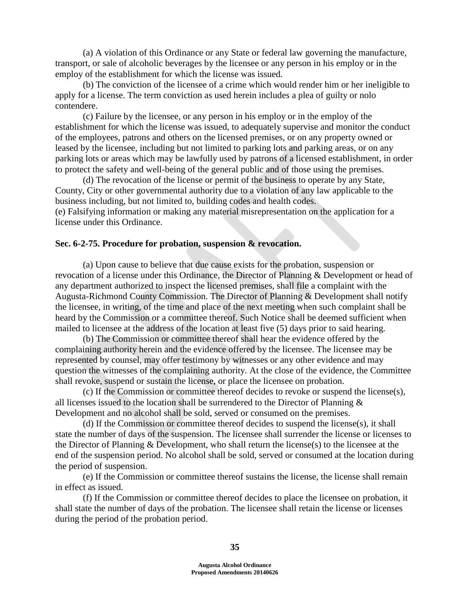(a) A violation of this Ordinance or any State or federal law governing the manufacture, transport, or sale of alcoholic beverages by the licensee or any person in his employ or in the employ of the establishment for which the license was issued.

(b) The conviction of the licensee of a crime which would render him or her ineligible to apply for a license. The term conviction as used herein includes a plea of guilty or nolo contendere.

(c) Failure by the licensee, or any person in his employ or in the employ of the establishment for which the license was issued, to adequately supervise and monitor the conduct of the employees, patrons and others on the licensed premises, or on any property owned or leased by the licensee, including but not limited to parking lots and parking areas, or on any parking lots or areas which may be lawfully used by patrons of a licensed establishment, in order to protect the safety and well-being of the general public and of those using the premises.

(d) The revocation of the license or permit of the business to operate by any State, County, City or other governmental authority due to a violation of any law applicable to the business including, but not limited to, building codes and health codes. (e) Falsifying information or making any material misrepresentation on the application for a license under this Ordinance.

#### **Sec. 6-2-75. Procedure for probation, suspension & revocation.**

(a) Upon cause to believe that due cause exists for the probation, suspension or revocation of a license under this Ordinance, the Director of Planning & Development or head of any department authorized to inspect the licensed premises, shall file a complaint with the Augusta-Richmond County Commission. The Director of Planning & Development shall notify the licensee, in writing, of the time and place of the next meeting when such complaint shall be heard by the Commission or a committee thereof. Such Notice shall be deemed sufficient when mailed to licensee at the address of the location at least five (5) days prior to said hearing.

(b) The Commission or committee thereof shall hear the evidence offered by the complaining authority herein and the evidence offered by the licensee. The licensee may be represented by counsel, may offer testimony by witnesses or any other evidence and may question the witnesses of the complaining authority. At the close of the evidence, the Committee shall revoke, suspend or sustain the license, or place the licensee on probation.

(c) If the Commission or committee thereof decides to revoke or suspend the license(s), all licenses issued to the location shall be surrendered to the Director of Planning & Development and no alcohol shall be sold, served or consumed on the premises.

(d) If the Commission or committee thereof decides to suspend the license(s), it shall state the number of days of the suspension. The licensee shall surrender the license or licenses to the Director of Planning & Development, who shall return the license(s) to the licensee at the end of the suspension period. No alcohol shall be sold, served or consumed at the location during the period of suspension.

(e) If the Commission or committee thereof sustains the license, the license shall remain in effect as issued.

(f) If the Commission or committee thereof decides to place the licensee on probation, it shall state the number of days of the probation. The licensee shall retain the license or licenses during the period of the probation period.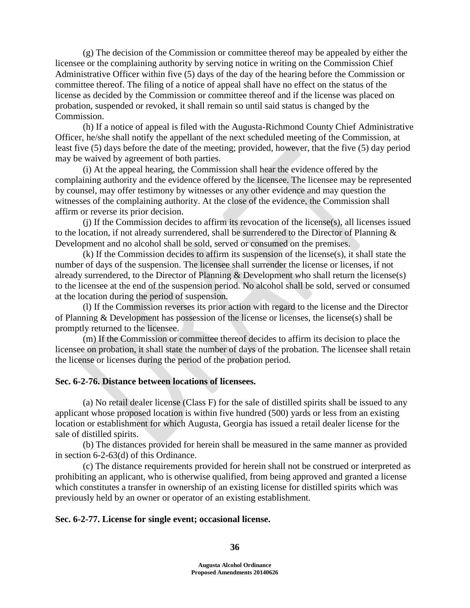(g) The decision of the Commission or committee thereof may be appealed by either the licensee or the complaining authority by serving notice in writing on the Commission Chief Administrative Officer within five (5) days of the day of the hearing before the Commission or committee thereof. The filing of a notice of appeal shall have no effect on the status of the license as decided by the Commission or committee thereof and if the license was placed on probation, suspended or revoked, it shall remain so until said status is changed by the Commission.

(h) If a notice of appeal is filed with the Augusta-Richmond County Chief Administrative Officer, he/she shall notify the appellant of the next scheduled meeting of the Commission, at least five (5) days before the date of the meeting; provided, however, that the five (5) day period may be waived by agreement of both parties.

(i) At the appeal hearing, the Commission shall hear the evidence offered by the complaining authority and the evidence offered by the licensee. The licensee may be represented by counsel, may offer testimony by witnesses or any other evidence and may question the witnesses of the complaining authority. At the close of the evidence, the Commission shall affirm or reverse its prior decision.

(j) If the Commission decides to affirm its revocation of the license(s), all licenses issued to the location, if not already surrendered, shall be surrendered to the Director of Planning  $\&$ Development and no alcohol shall be sold, served or consumed on the premises.

(k) If the Commission decides to affirm its suspension of the license(s), it shall state the number of days of the suspension. The licensee shall surrender the license or licenses, if not already surrendered, to the Director of Planning & Development who shall return the license(s) to the licensee at the end of the suspension period. No alcohol shall be sold, served or consumed at the location during the period of suspension.

(l) If the Commission reverses its prior action with regard to the license and the Director of Planning & Development has possession of the license or licenses, the license(s) shall be promptly returned to the licensee.

(m) If the Commission or committee thereof decides to affirm its decision to place the licensee on probation, it shall state the number of days of the probation. The licensee shall retain the license or licenses during the period of the probation period.

## **Sec. 6-2-76. Distance between locations of licensees.**

(a) No retail dealer license (Class F) for the sale of distilled spirits shall be issued to any applicant whose proposed location is within five hundred (500) yards or less from an existing location or establishment for which Augusta, Georgia has issued a retail dealer license for the sale of distilled spirits.

(b) The distances provided for herein shall be measured in the same manner as provided in section 6-2-63(d) of this Ordinance.

(c) The distance requirements provided for herein shall not be construed or interpreted as prohibiting an applicant, who is otherwise qualified, from being approved and granted a license which constitutes a transfer in ownership of an existing license for distilled spirits which was previously held by an owner or operator of an existing establishment.

### **Sec. 6-2-77. License for single event; occasional license.**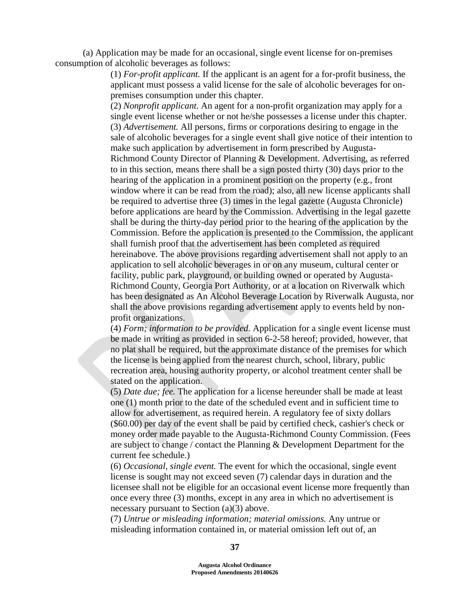(a) Application may be made for an occasional, single event license for on-premises consumption of alcoholic beverages as follows:

> (1) *For-profit applicant.* If the applicant is an agent for a for-profit business, the applicant must possess a valid license for the sale of alcoholic beverages for onpremises consumption under this chapter.

(2) *Nonprofit applicant.* An agent for a non-profit organization may apply for a single event license whether or not he/she possesses a license under this chapter. (3) *Advertisement.* All persons, firms or corporations desiring to engage in the sale of alcoholic beverages for a single event shall give notice of their intention to make such application by advertisement in form prescribed by Augusta-Richmond County Director of Planning & Development. Advertising, as referred to in this section, means there shall be a sign posted thirty (30) days prior to the hearing of the application in a prominent position on the property (e.g., front window where it can be read from the road); also, all new license applicants shall be required to advertise three (3) times in the legal gazette (Augusta Chronicle) before applications are heard by the Commission. Advertising in the legal gazette shall be during the thirty-day period prior to the hearing of the application by the Commission. Before the application is presented to the Commission, the applicant shall furnish proof that the advertisement has been completed as required hereinabove. The above provisions regarding advertisement shall not apply to an application to sell alcoholic beverages in or on any museum, cultural center or facility, public park, playground, or building owned or operated by Augusta-Richmond County, Georgia Port Authority, or at a location on Riverwalk which has been designated as An Alcohol Beverage Location by Riverwalk Augusta, nor shall the above provisions regarding advertisement apply to events held by nonprofit organizations.

(4) *Form; information to be provided.* Application for a single event license must be made in writing as provided in section 6-2-58 hereof; provided, however, that no plat shall be required, but the approximate distance of the premises for which the license is being applied from the nearest church, school, library, public recreation area, housing authority property, or alcohol treatment center shall be stated on the application.

(5) *Date due; fee.* The application for a license hereunder shall be made at least one (1) month prior to the date of the scheduled event and in sufficient time to allow for advertisement, as required herein. A regulatory fee of sixty dollars (\$60.00) per day of the event shall be paid by certified check, cashier's check or money order made payable to the Augusta-Richmond County Commission. (Fees are subject to change / contact the Planning & Development Department for the current fee schedule.)

(6) *Occasional, single event.* The event for which the occasional, single event license is sought may not exceed seven (7) calendar days in duration and the licensee shall not be eligible for an occasional event license more frequently than once every three (3) months, except in any area in which no advertisement is necessary pursuant to Section (a)(3) above.

(7) *Untrue or misleading information; material omissions.* Any untrue or misleading information contained in, or material omission left out of, an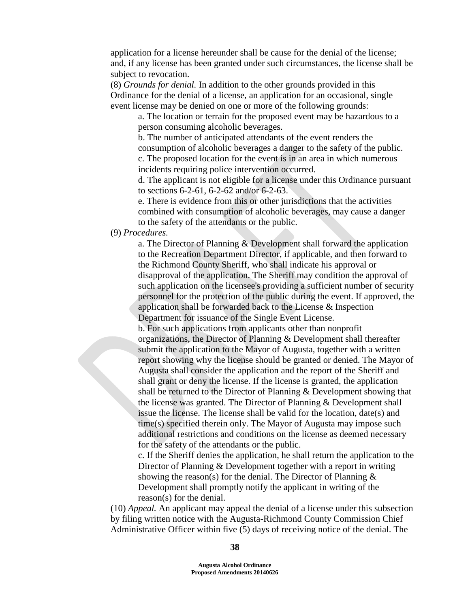application for a license hereunder shall be cause for the denial of the license; and, if any license has been granted under such circumstances, the license shall be subject to revocation.

(8) *Grounds for denial.* In addition to the other grounds provided in this Ordinance for the denial of a license, an application for an occasional, single event license may be denied on one or more of the following grounds:

a. The location or terrain for the proposed event may be hazardous to a person consuming alcoholic beverages.

b. The number of anticipated attendants of the event renders the consumption of alcoholic beverages a danger to the safety of the public. c. The proposed location for the event is in an area in which numerous incidents requiring police intervention occurred.

d. The applicant is not eligible for a license under this Ordinance pursuant to sections 6-2-61, 6-2-62 and/or 6-2-63.

e. There is evidence from this or other jurisdictions that the activities combined with consumption of alcoholic beverages, may cause a danger to the safety of the attendants or the public.

# (9) *Procedures.*

a. The Director of Planning & Development shall forward the application to the Recreation Department Director, if applicable, and then forward to the Richmond County Sheriff, who shall indicate his approval or disapproval of the application. The Sheriff may condition the approval of such application on the licensee's providing a sufficient number of security personnel for the protection of the public during the event. If approved, the application shall be forwarded back to the License & Inspection Department for issuance of the Single Event License.

b. For such applications from applicants other than nonprofit organizations, the Director of Planning & Development shall thereafter submit the application to the Mayor of Augusta, together with a written report showing why the license should be granted or denied. The Mayor of Augusta shall consider the application and the report of the Sheriff and shall grant or deny the license. If the license is granted, the application shall be returned to the Director of Planning & Development showing that the license was granted. The Director of Planning & Development shall issue the license. The license shall be valid for the location, date(s) and time(s) specified therein only. The Mayor of Augusta may impose such additional restrictions and conditions on the license as deemed necessary for the safety of the attendants or the public.

c. If the Sheriff denies the application, he shall return the application to the Director of Planning & Development together with a report in writing showing the reason(s) for the denial. The Director of Planning & Development shall promptly notify the applicant in writing of the reason(s) for the denial.

(10) *Appeal.* An applicant may appeal the denial of a license under this subsection by filing written notice with the Augusta-Richmond County Commission Chief Administrative Officer within five (5) days of receiving notice of the denial. The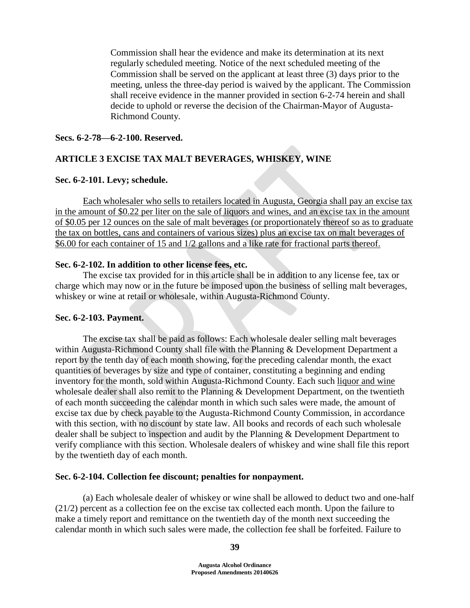Commission shall hear the evidence and make its determination at its next regularly scheduled meeting. Notice of the next scheduled meeting of the Commission shall be served on the applicant at least three (3) days prior to the meeting, unless the three-day period is waived by the applicant. The Commission shall receive evidence in the manner provided in section 6-2-74 herein and shall decide to uphold or reverse the decision of the Chairman-Mayor of Augusta-Richmond County.

## **Secs. 6-2-78—6-2-100. Reserved.**

# **ARTICLE 3 EXCISE TAX MALT BEVERAGES, WHISKEY, WINE**

### **Sec. 6-2-101. Levy; schedule.**

Each wholesaler who sells to retailers located in Augusta, Georgia shall pay an excise tax in the amount of \$0.22 per liter on the sale of liquors and wines, and an excise tax in the amount of \$0.05 per 12 ounces on the sale of malt beverages (or proportionately thereof so as to graduate the tax on bottles, cans and containers of various sizes) plus an excise tax on malt beverages of \$6.00 for each container of 15 and 1/2 gallons and a like rate for fractional parts thereof.

### **Sec. 6-2-102. In addition to other license fees, etc.**

The excise tax provided for in this article shall be in addition to any license fee, tax or charge which may now or in the future be imposed upon the business of selling malt beverages, whiskey or wine at retail or wholesale, within Augusta-Richmond County.

### **Sec. 6-2-103. Payment.**

The excise tax shall be paid as follows: Each wholesale dealer selling malt beverages within Augusta-Richmond County shall file with the Planning & Development Department a report by the tenth day of each month showing, for the preceding calendar month, the exact quantities of beverages by size and type of container, constituting a beginning and ending inventory for the month, sold within Augusta-Richmond County. Each such liquor and wine wholesale dealer shall also remit to the Planning & Development Department, on the twentieth of each month succeeding the calendar month in which such sales were made, the amount of excise tax due by check payable to the Augusta-Richmond County Commission, in accordance with this section, with no discount by state law. All books and records of each such wholesale dealer shall be subject to inspection and audit by the Planning & Development Department to verify compliance with this section. Wholesale dealers of whiskey and wine shall file this report by the twentieth day of each month.

### **Sec. 6-2-104. Collection fee discount; penalties for nonpayment.**

(a) Each wholesale dealer of whiskey or wine shall be allowed to deduct two and one-half (21/2) percent as a collection fee on the excise tax collected each month. Upon the failure to make a timely report and remittance on the twentieth day of the month next succeeding the calendar month in which such sales were made, the collection fee shall be forfeited. Failure to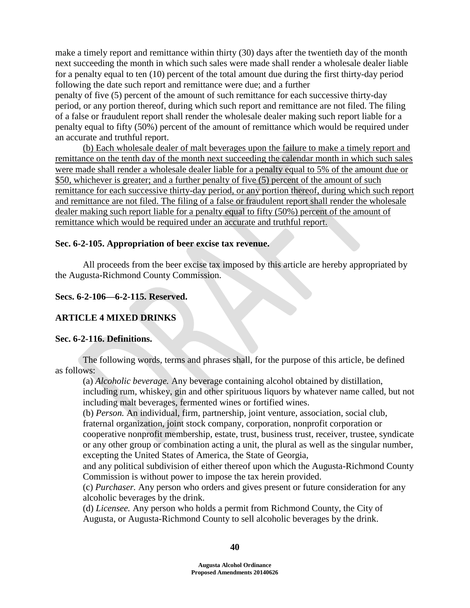make a timely report and remittance within thirty (30) days after the twentieth day of the month next succeeding the month in which such sales were made shall render a wholesale dealer liable for a penalty equal to ten (10) percent of the total amount due during the first thirty-day period following the date such report and remittance were due; and a further

penalty of five (5) percent of the amount of such remittance for each successive thirty-day period, or any portion thereof, during which such report and remittance are not filed. The filing of a false or fraudulent report shall render the wholesale dealer making such report liable for a penalty equal to fifty (50%) percent of the amount of remittance which would be required under an accurate and truthful report.

(b) Each wholesale dealer of malt beverages upon the failure to make a timely report and remittance on the tenth day of the month next succeeding the calendar month in which such sales were made shall render a wholesale dealer liable for a penalty equal to 5% of the amount due or \$50, whichever is greater; and a further penalty of five (5) percent of the amount of such remittance for each successive thirty-day period, or any portion thereof, during which such report and remittance are not filed. The filing of a false or fraudulent report shall render the wholesale dealer making such report liable for a penalty equal to fifty (50%) percent of the amount of remittance which would be required under an accurate and truthful report.

### **Sec. 6-2-105. Appropriation of beer excise tax revenue.**

All proceeds from the beer excise tax imposed by this article are hereby appropriated by the Augusta-Richmond County Commission.

### **Secs. 6-2-106—6-2-115. Reserved.**

## **ARTICLE 4 MIXED DRINKS**

### **Sec. 6-2-116. Definitions.**

The following words, terms and phrases shall, for the purpose of this article, be defined as follows:

(a) *Alcoholic beverage.* Any beverage containing alcohol obtained by distillation,

including rum, whiskey, gin and other spirituous liquors by whatever name called, but not including malt beverages, fermented wines or fortified wines.

(b) *Person.* An individual, firm, partnership, joint venture, association, social club,

fraternal organization, joint stock company, corporation, nonprofit corporation or

cooperative nonprofit membership, estate, trust, business trust, receiver, trustee, syndicate or any other group or combination acting a unit, the plural as well as the singular number, excepting the United States of America, the State of Georgia,

and any political subdivision of either thereof upon which the Augusta-Richmond County Commission is without power to impose the tax herein provided.

(c) *Purchaser.* Any person who orders and gives present or future consideration for any alcoholic beverages by the drink.

(d) *Licensee.* Any person who holds a permit from Richmond County, the City of Augusta, or Augusta-Richmond County to sell alcoholic beverages by the drink.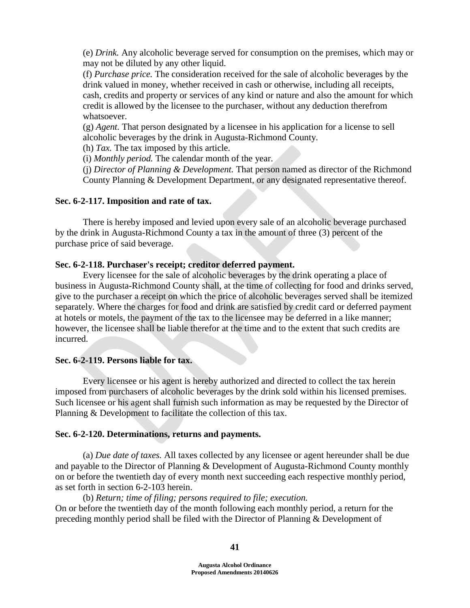(e) *Drink.* Any alcoholic beverage served for consumption on the premises, which may or may not be diluted by any other liquid.

(f) *Purchase price.* The consideration received for the sale of alcoholic beverages by the drink valued in money, whether received in cash or otherwise, including all receipts, cash, credits and property or services of any kind or nature and also the amount for which credit is allowed by the licensee to the purchaser, without any deduction therefrom whatsoever.

(g) *Agent.* That person designated by a licensee in his application for a license to sell alcoholic beverages by the drink in Augusta-Richmond County.

(h) *Tax.* The tax imposed by this article.

(i) *Monthly period.* The calendar month of the year.

(j) *Director of Planning & Development.* That person named as director of the Richmond County Planning & Development Department, or any designated representative thereof.

### **Sec. 6-2-117. Imposition and rate of tax.**

There is hereby imposed and levied upon every sale of an alcoholic beverage purchased by the drink in Augusta-Richmond County a tax in the amount of three (3) percent of the purchase price of said beverage.

### **Sec. 6-2-118. Purchaser's receipt; creditor deferred payment.**

Every licensee for the sale of alcoholic beverages by the drink operating a place of business in Augusta-Richmond County shall, at the time of collecting for food and drinks served, give to the purchaser a receipt on which the price of alcoholic beverages served shall be itemized separately. Where the charges for food and drink are satisfied by credit card or deferred payment at hotels or motels, the payment of the tax to the licensee may be deferred in a like manner; however, the licensee shall be liable therefor at the time and to the extent that such credits are incurred.

# **Sec. 6-2-119. Persons liable for tax.**

Every licensee or his agent is hereby authorized and directed to collect the tax herein imposed from purchasers of alcoholic beverages by the drink sold within his licensed premises. Such licensee or his agent shall furnish such information as may be requested by the Director of Planning & Development to facilitate the collection of this tax.

### **Sec. 6-2-120. Determinations, returns and payments.**

(a) *Due date of taxes.* All taxes collected by any licensee or agent hereunder shall be due and payable to the Director of Planning & Development of Augusta-Richmond County monthly on or before the twentieth day of every month next succeeding each respective monthly period, as set forth in section 6-2-103 herein.

# (b) *Return; time of filing; persons required to file; execution.* On or before the twentieth day of the month following each monthly period, a return for the preceding monthly period shall be filed with the Director of Planning & Development of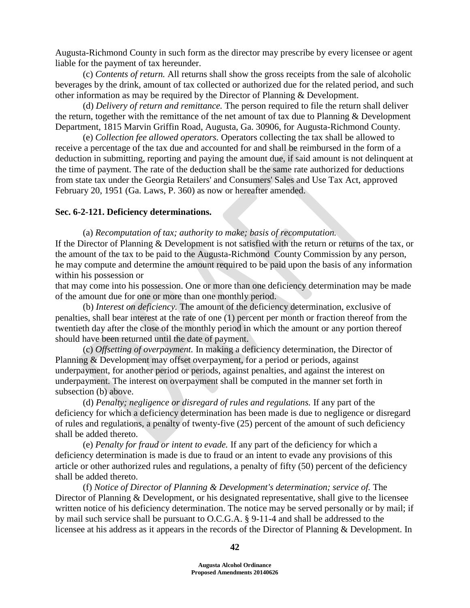Augusta-Richmond County in such form as the director may prescribe by every licensee or agent liable for the payment of tax hereunder.

(c) *Contents of return.* All returns shall show the gross receipts from the sale of alcoholic beverages by the drink, amount of tax collected or authorized due for the related period, and such other information as may be required by the Director of Planning & Development.

(d) *Delivery of return and remittance.* The person required to file the return shall deliver the return, together with the remittance of the net amount of tax due to Planning & Development Department, 1815 Marvin Griffin Road, Augusta, Ga. 30906, for Augusta-Richmond County.

(e) *Collection fee allowed operators.* Operators collecting the tax shall be allowed to receive a percentage of the tax due and accounted for and shall be reimbursed in the form of a deduction in submitting, reporting and paying the amount due, if said amount is not delinquent at the time of payment. The rate of the deduction shall be the same rate authorized for deductions from state tax under the Georgia Retailers' and Consumers' Sales and Use Tax Act, approved February 20, 1951 (Ga. Laws, P. 360) as now or hereafter amended.

#### **Sec. 6-2-121. Deficiency determinations.**

(a) *Recomputation of tax; authority to make; basis of recomputation.* If the Director of Planning & Development is not satisfied with the return or returns of the tax, or the amount of the tax to be paid to the Augusta-Richmond County Commission by any person, he may compute and determine the amount required to be paid upon the basis of any information within his possession or

that may come into his possession. One or more than one deficiency determination may be made of the amount due for one or more than one monthly period.

(b) *Interest on deficiency.* The amount of the deficiency determination, exclusive of penalties, shall bear interest at the rate of one (1) percent per month or fraction thereof from the twentieth day after the close of the monthly period in which the amount or any portion thereof should have been returned until the date of payment.

(c) *Offsetting of overpayment.* In making a deficiency determination, the Director of Planning & Development may offset overpayment, for a period or periods, against underpayment, for another period or periods, against penalties, and against the interest on underpayment. The interest on overpayment shall be computed in the manner set forth in subsection (b) above.

(d) *Penalty; negligence or disregard of rules and regulations.* If any part of the deficiency for which a deficiency determination has been made is due to negligence or disregard of rules and regulations, a penalty of twenty-five (25) percent of the amount of such deficiency shall be added thereto.

(e) *Penalty for fraud or intent to evade.* If any part of the deficiency for which a deficiency determination is made is due to fraud or an intent to evade any provisions of this article or other authorized rules and regulations, a penalty of fifty (50) percent of the deficiency shall be added thereto.

(f) *Notice of Director of Planning & Development's determination; service of.* The Director of Planning & Development, or his designated representative, shall give to the licensee written notice of his deficiency determination. The notice may be served personally or by mail; if by mail such service shall be pursuant to O.C.G.A. § 9-11-4 and shall be addressed to the licensee at his address as it appears in the records of the Director of Planning & Development. In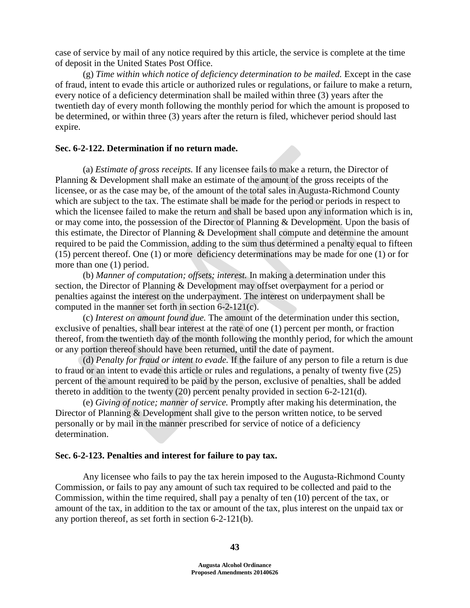case of service by mail of any notice required by this article, the service is complete at the time of deposit in the United States Post Office.

(g) *Time within which notice of deficiency determination to be mailed.* Except in the case of fraud, intent to evade this article or authorized rules or regulations, or failure to make a return, every notice of a deficiency determination shall be mailed within three (3) years after the twentieth day of every month following the monthly period for which the amount is proposed to be determined, or within three (3) years after the return is filed, whichever period should last expire.

### **Sec. 6-2-122. Determination if no return made.**

(a) *Estimate of gross receipts.* If any licensee fails to make a return, the Director of Planning & Development shall make an estimate of the amount of the gross receipts of the licensee, or as the case may be, of the amount of the total sales in Augusta-Richmond County which are subject to the tax. The estimate shall be made for the period or periods in respect to which the licensee failed to make the return and shall be based upon any information which is in, or may come into, the possession of the Director of Planning & Development. Upon the basis of this estimate, the Director of Planning & Development shall compute and determine the amount required to be paid the Commission, adding to the sum thus determined a penalty equal to fifteen (15) percent thereof. One (1) or more deficiency determinations may be made for one (1) or for more than one (1) period.

(b) *Manner of computation; offsets; interest.* In making a determination under this section, the Director of Planning & Development may offset overpayment for a period or penalties against the interest on the underpayment. The interest on underpayment shall be computed in the manner set forth in section 6-2-121(c).

(c) *Interest on amount found due.* The amount of the determination under this section, exclusive of penalties, shall bear interest at the rate of one (1) percent per month, or fraction thereof, from the twentieth day of the month following the monthly period, for which the amount or any portion thereof should have been returned, until the date of payment.

(d) *Penalty for fraud or intent to evade.* If the failure of any person to file a return is due to fraud or an intent to evade this article or rules and regulations, a penalty of twenty five (25) percent of the amount required to be paid by the person, exclusive of penalties, shall be added thereto in addition to the twenty (20) percent penalty provided in section 6-2-121(d).

(e) *Giving of notice; manner of service.* Promptly after making his determination, the Director of Planning & Development shall give to the person written notice, to be served personally or by mail in the manner prescribed for service of notice of a deficiency determination.

### **Sec. 6-2-123. Penalties and interest for failure to pay tax.**

Any licensee who fails to pay the tax herein imposed to the Augusta-Richmond County Commission, or fails to pay any amount of such tax required to be collected and paid to the Commission, within the time required, shall pay a penalty of ten (10) percent of the tax, or amount of the tax, in addition to the tax or amount of the tax, plus interest on the unpaid tax or any portion thereof, as set forth in section 6-2-121(b).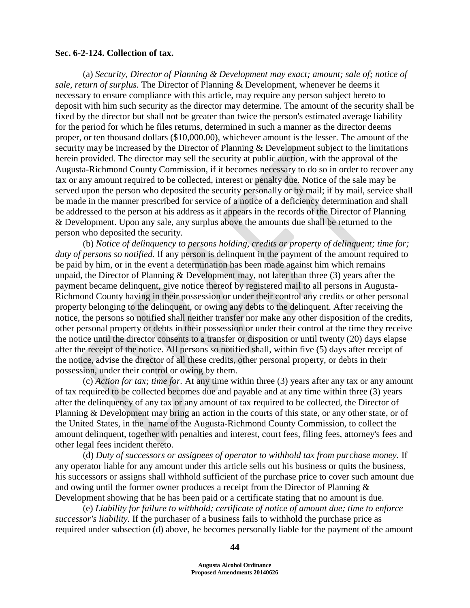#### **Sec. 6-2-124. Collection of tax.**

(a) *Security, Director of Planning & Development may exact; amount; sale of; notice of sale, return of surplus.* The Director of Planning & Development, whenever he deems it necessary to ensure compliance with this article, may require any person subject hereto to deposit with him such security as the director may determine. The amount of the security shall be fixed by the director but shall not be greater than twice the person's estimated average liability for the period for which he files returns, determined in such a manner as the director deems proper, or ten thousand dollars (\$10,000.00), whichever amount is the lesser. The amount of the security may be increased by the Director of Planning & Development subject to the limitations herein provided. The director may sell the security at public auction, with the approval of the Augusta-Richmond County Commission, if it becomes necessary to do so in order to recover any tax or any amount required to be collected, interest or penalty due. Notice of the sale may be served upon the person who deposited the security personally or by mail; if by mail, service shall be made in the manner prescribed for service of a notice of a deficiency determination and shall be addressed to the person at his address as it appears in the records of the Director of Planning & Development. Upon any sale, any surplus above the amounts due shall be returned to the person who deposited the security.

(b) *Notice of delinquency to persons holding, credits or property of delinquent; time for; duty of persons so notified.* If any person is delinquent in the payment of the amount required to be paid by him, or in the event a determination has been made against him which remains unpaid, the Director of Planning  $&$  Development may, not later than three (3) years after the payment became delinquent, give notice thereof by registered mail to all persons in Augusta-Richmond County having in their possession or under their control any credits or other personal property belonging to the delinquent, or owing any debts to the delinquent. After receiving the notice, the persons so notified shall neither transfer nor make any other disposition of the credits, other personal property or debts in their possession or under their control at the time they receive the notice until the director consents to a transfer or disposition or until twenty (20) days elapse after the receipt of the notice. All persons so notified shall, within five (5) days after receipt of the notice, advise the director of all these credits, other personal property, or debts in their possession, under their control or owing by them.

(c) *Action for tax; time for.* At any time within three (3) years after any tax or any amount of tax required to be collected becomes due and payable and at any time within three (3) years after the delinquency of any tax or any amount of tax required to be collected, the Director of Planning & Development may bring an action in the courts of this state, or any other state, or of the United States, in the name of the Augusta-Richmond County Commission, to collect the amount delinquent, together with penalties and interest, court fees, filing fees, attorney's fees and other legal fees incident thereto.

(d) *Duty of successors or assignees of operator to withhold tax from purchase money.* If any operator liable for any amount under this article sells out his business or quits the business, his successors or assigns shall withhold sufficient of the purchase price to cover such amount due and owing until the former owner produces a receipt from the Director of Planning & Development showing that he has been paid or a certificate stating that no amount is due.

(e) *Liability for failure to withhold; certificate of notice of amount due; time to enforce successor's liability.* If the purchaser of a business fails to withhold the purchase price as required under subsection (d) above, he becomes personally liable for the payment of the amount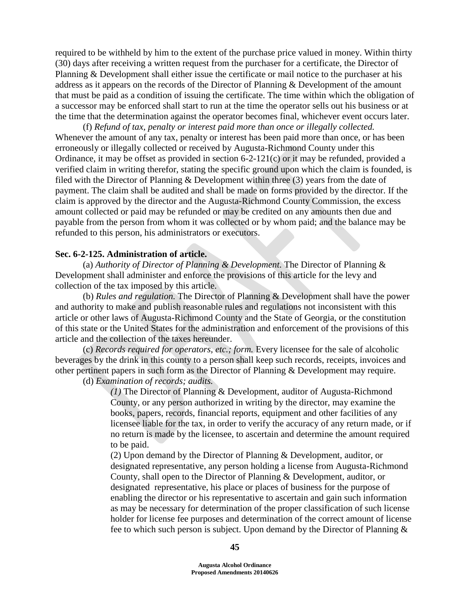required to be withheld by him to the extent of the purchase price valued in money. Within thirty (30) days after receiving a written request from the purchaser for a certificate, the Director of Planning & Development shall either issue the certificate or mail notice to the purchaser at his address as it appears on the records of the Director of Planning & Development of the amount that must be paid as a condition of issuing the certificate. The time within which the obligation of a successor may be enforced shall start to run at the time the operator sells out his business or at the time that the determination against the operator becomes final, whichever event occurs later.

(f) *Refund of tax, penalty or interest paid more than once or illegally collected.*  Whenever the amount of any tax, penalty or interest has been paid more than once, or has been erroneously or illegally collected or received by Augusta-Richmond County under this Ordinance, it may be offset as provided in section 6-2-121(c) or it may be refunded, provided a verified claim in writing therefor, stating the specific ground upon which the claim is founded, is filed with the Director of Planning  $&$  Development within three (3) years from the date of payment. The claim shall be audited and shall be made on forms provided by the director. If the claim is approved by the director and the Augusta-Richmond County Commission, the excess amount collected or paid may be refunded or may be credited on any amounts then due and payable from the person from whom it was collected or by whom paid; and the balance may be refunded to this person, his administrators or executors.

#### **Sec. 6-2-125. Administration of article.**

(a) *Authority of Director of Planning & Development.* The Director of Planning & Development shall administer and enforce the provisions of this article for the levy and collection of the tax imposed by this article.

(b) *Rules and regulation.* The Director of Planning & Development shall have the power and authority to make and publish reasonable rules and regulations not inconsistent with this article or other laws of Augusta-Richmond County and the State of Georgia, or the constitution of this state or the United States for the administration and enforcement of the provisions of this article and the collection of the taxes hereunder.

(c) *Records required for operators, etc.; form.* Every licensee for the sale of alcoholic beverages by the drink in this county to a person shall keep such records, receipts, invoices and other pertinent papers in such form as the Director of Planning & Development may require.

(d) *Examination of records; audits.* 

*(1)* The Director of Planning & Development, auditor of Augusta-Richmond County, or any person authorized in writing by the director, may examine the books, papers, records, financial reports, equipment and other facilities of any licensee liable for the tax, in order to verify the accuracy of any return made, or if no return is made by the licensee, to ascertain and determine the amount required to be paid.

(2) Upon demand by the Director of Planning & Development, auditor, or designated representative, any person holding a license from Augusta-Richmond County, shall open to the Director of Planning & Development, auditor, or designated representative, his place or places of business for the purpose of enabling the director or his representative to ascertain and gain such information as may be necessary for determination of the proper classification of such license holder for license fee purposes and determination of the correct amount of license fee to which such person is subject. Upon demand by the Director of Planning &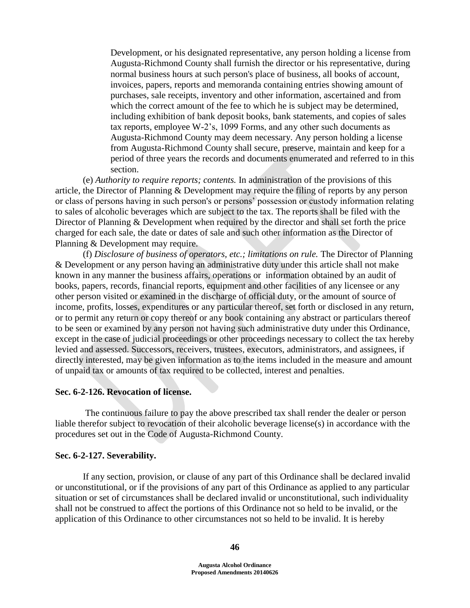Development, or his designated representative, any person holding a license from Augusta-Richmond County shall furnish the director or his representative, during normal business hours at such person's place of business, all books of account, invoices, papers, reports and memoranda containing entries showing amount of purchases, sale receipts, inventory and other information, ascertained and from which the correct amount of the fee to which he is subject may be determined, including exhibition of bank deposit books, bank statements, and copies of sales tax reports, employee W-2's, 1099 Forms, and any other such documents as Augusta-Richmond County may deem necessary. Any person holding a license from Augusta-Richmond County shall secure, preserve, maintain and keep for a period of three years the records and documents enumerated and referred to in this section.

(e) *Authority to require reports; contents.* In administration of the provisions of this article, the Director of Planning & Development may require the filing of reports by any person or class of persons having in such person's or persons' possession or custody information relating to sales of alcoholic beverages which are subject to the tax. The reports shall be filed with the Director of Planning & Development when required by the director and shall set forth the price charged for each sale, the date or dates of sale and such other information as the Director of Planning & Development may require.

(f) *Disclosure of business of operators, etc.; limitations on rule.* The Director of Planning & Development or any person having an administrative duty under this article shall not make known in any manner the business affairs, operations or information obtained by an audit of books, papers, records, financial reports, equipment and other facilities of any licensee or any other person visited or examined in the discharge of official duty, or the amount of source of income, profits, losses, expenditures or any particular thereof, set forth or disclosed in any return, or to permit any return or copy thereof or any book containing any abstract or particulars thereof to be seen or examined by any person not having such administrative duty under this Ordinance, except in the case of judicial proceedings or other proceedings necessary to collect the tax hereby levied and assessed. Successors, receivers, trustees, executors, administrators, and assignees, if directly interested, may be given information as to the items included in the measure and amount of unpaid tax or amounts of tax required to be collected, interest and penalties.

#### **Sec. 6-2-126. Revocation of license.**

The continuous failure to pay the above prescribed tax shall render the dealer or person liable therefor subject to revocation of their alcoholic beverage license(s) in accordance with the procedures set out in the Code of Augusta-Richmond County.

#### **Sec. 6-2-127. Severability.**

If any section, provision, or clause of any part of this Ordinance shall be declared invalid or unconstitutional, or if the provisions of any part of this Ordinance as applied to any particular situation or set of circumstances shall be declared invalid or unconstitutional, such individuality shall not be construed to affect the portions of this Ordinance not so held to be invalid, or the application of this Ordinance to other circumstances not so held to be invalid. It is hereby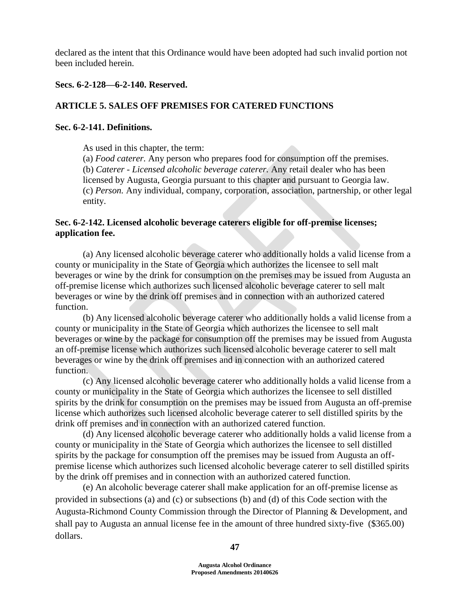declared as the intent that this Ordinance would have been adopted had such invalid portion not been included herein.

# **Secs. 6-2-128—6-2-140. Reserved.**

# **ARTICLE 5. SALES OFF PREMISES FOR CATERED FUNCTIONS**

# **Sec. 6-2-141. Definitions.**

As used in this chapter, the term:

(a) *Food caterer.* Any person who prepares food for consumption off the premises. (b) *Caterer - Licensed alcoholic beverage caterer.* Any retail dealer who has been licensed by Augusta, Georgia pursuant to this chapter and pursuant to Georgia law. (c) *Person.* Any individual, company, corporation, association, partnership, or other legal entity.

# **Sec. 6-2-142. Licensed alcoholic beverage caterers eligible for off-premise licenses; application fee.**

(a) Any licensed alcoholic beverage caterer who additionally holds a valid license from a county or municipality in the State of Georgia which authorizes the licensee to sell malt beverages or wine by the drink for consumption on the premises may be issued from Augusta an off-premise license which authorizes such licensed alcoholic beverage caterer to sell malt beverages or wine by the drink off premises and in connection with an authorized catered function.

(b) Any licensed alcoholic beverage caterer who additionally holds a valid license from a county or municipality in the State of Georgia which authorizes the licensee to sell malt beverages or wine by the package for consumption off the premises may be issued from Augusta an off-premise license which authorizes such licensed alcoholic beverage caterer to sell malt beverages or wine by the drink off premises and in connection with an authorized catered function.

(c) Any licensed alcoholic beverage caterer who additionally holds a valid license from a county or municipality in the State of Georgia which authorizes the licensee to sell distilled spirits by the drink for consumption on the premises may be issued from Augusta an off-premise license which authorizes such licensed alcoholic beverage caterer to sell distilled spirits by the drink off premises and in connection with an authorized catered function.

(d) Any licensed alcoholic beverage caterer who additionally holds a valid license from a county or municipality in the State of Georgia which authorizes the licensee to sell distilled spirits by the package for consumption off the premises may be issued from Augusta an offpremise license which authorizes such licensed alcoholic beverage caterer to sell distilled spirits by the drink off premises and in connection with an authorized catered function.

(e) An alcoholic beverage caterer shall make application for an off-premise license as provided in subsections (a) and (c) or subsections (b) and (d) of this Code section with the Augusta-Richmond County Commission through the Director of Planning & Development, and shall pay to Augusta an annual license fee in the amount of three hundred sixty-five (\$365.00) dollars.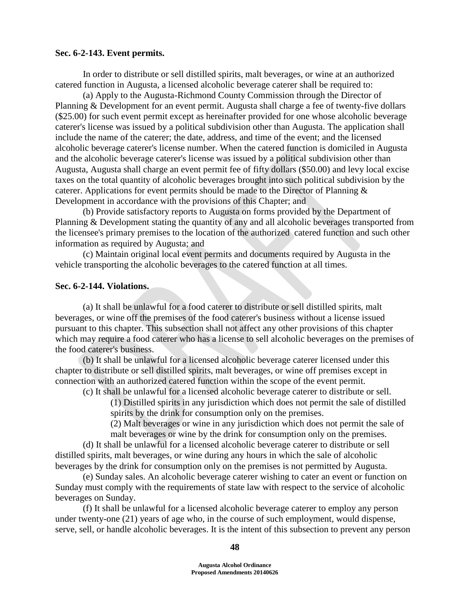### **Sec. 6-2-143. Event permits.**

In order to distribute or sell distilled spirits, malt beverages, or wine at an authorized catered function in Augusta, a licensed alcoholic beverage caterer shall be required to:

(a) Apply to the Augusta-Richmond County Commission through the Director of Planning & Development for an event permit. Augusta shall charge a fee of twenty-five dollars (\$25.00) for such event permit except as hereinafter provided for one whose alcoholic beverage caterer's license was issued by a political subdivision other than Augusta. The application shall include the name of the caterer; the date, address, and time of the event; and the licensed alcoholic beverage caterer's license number. When the catered function is domiciled in Augusta and the alcoholic beverage caterer's license was issued by a political subdivision other than Augusta, Augusta shall charge an event permit fee of fifty dollars (\$50.00) and levy local excise taxes on the total quantity of alcoholic beverages brought into such political subdivision by the caterer. Applications for event permits should be made to the Director of Planning & Development in accordance with the provisions of this Chapter; and

(b) Provide satisfactory reports to Augusta on forms provided by the Department of Planning & Development stating the quantity of any and all alcoholic beverages transported from the licensee's primary premises to the location of the authorized catered function and such other information as required by Augusta; and

(c) Maintain original local event permits and documents required by Augusta in the vehicle transporting the alcoholic beverages to the catered function at all times.

## **Sec. 6-2-144. Violations.**

(a) It shall be unlawful for a food caterer to distribute or sell distilled spirits, malt beverages, or wine off the premises of the food caterer's business without a license issued pursuant to this chapter. This subsection shall not affect any other provisions of this chapter which may require a food caterer who has a license to sell alcoholic beverages on the premises of the food caterer's business.

(b) It shall be unlawful for a licensed alcoholic beverage caterer licensed under this chapter to distribute or sell distilled spirits, malt beverages, or wine off premises except in connection with an authorized catered function within the scope of the event permit.

(c) It shall be unlawful for a licensed alcoholic beverage caterer to distribute or sell. (1) Distilled spirits in any jurisdiction which does not permit the sale of distilled

spirits by the drink for consumption only on the premises.

(2) Malt beverages or wine in any jurisdiction which does not permit the sale of

malt beverages or wine by the drink for consumption only on the premises. (d) It shall be unlawful for a licensed alcoholic beverage caterer to distribute or sell distilled spirits, malt beverages, or wine during any hours in which the sale of alcoholic beverages by the drink for consumption only on the premises is not permitted by Augusta.

(e) Sunday sales. An alcoholic beverage caterer wishing to cater an event or function on Sunday must comply with the requirements of state law with respect to the service of alcoholic beverages on Sunday.

(f) It shall be unlawful for a licensed alcoholic beverage caterer to employ any person under twenty-one (21) years of age who, in the course of such employment, would dispense, serve, sell, or handle alcoholic beverages. It is the intent of this subsection to prevent any person